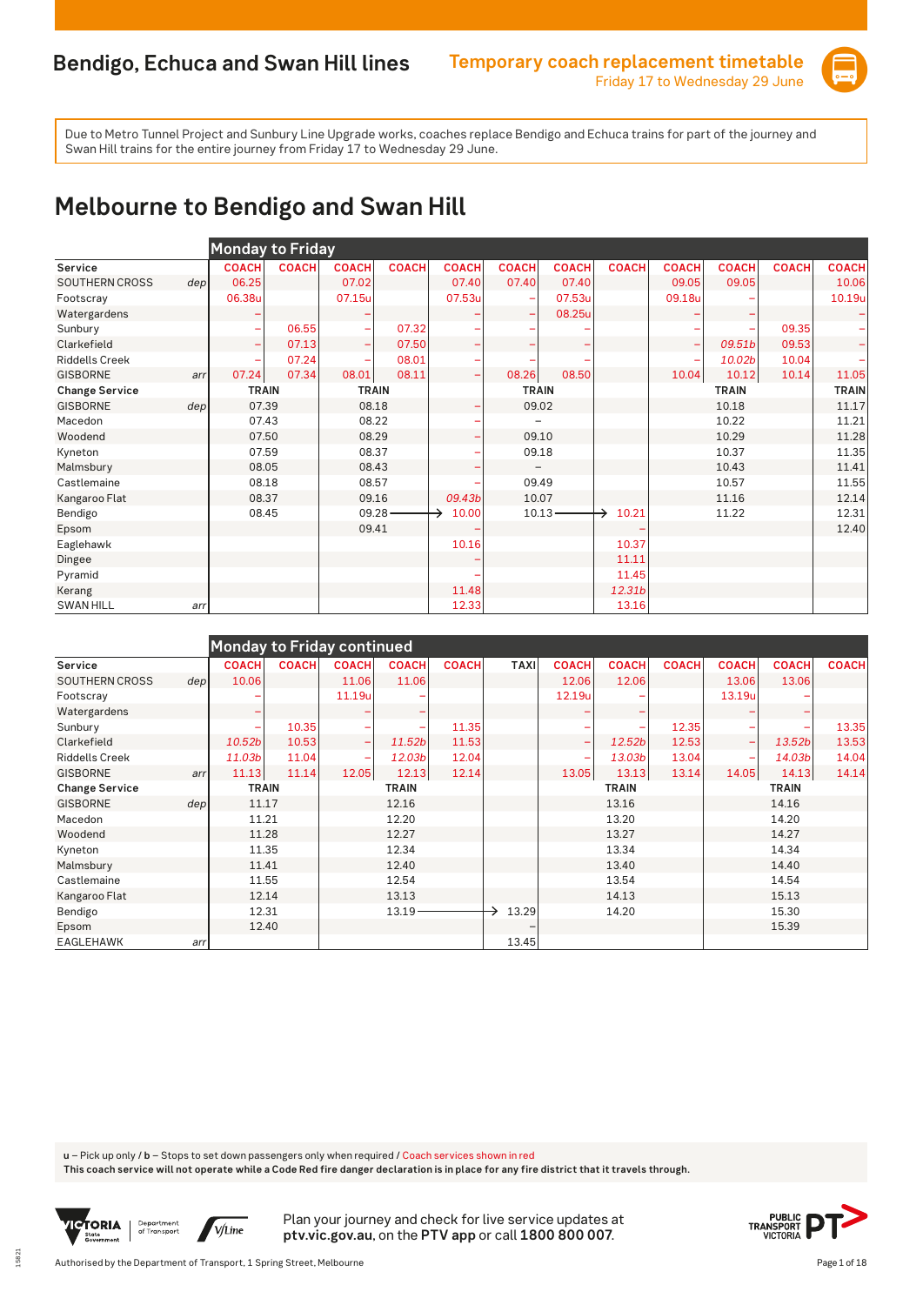

# **Melbourne to Bendigo and Swan Hill**

|                       |                  | <b>Monday to Friday</b> |              |                          |              |                    |              |              |                     |              |              |              |              |
|-----------------------|------------------|-------------------------|--------------|--------------------------|--------------|--------------------|--------------|--------------|---------------------|--------------|--------------|--------------|--------------|
| Service               |                  | <b>COACH</b>            | <b>COACH</b> | <b>COACH</b>             | <b>COACH</b> | <b>COACH</b>       | <b>COACH</b> | <b>COACH</b> | <b>COACH</b>        | <b>COACH</b> | <b>COACH</b> | <b>COACH</b> | <b>COACH</b> |
| <b>SOUTHERN CROSS</b> | dep <sub>1</sub> | 06.25                   |              | 07.02                    |              | 07.40              | 07.40        | 07.40        |                     | 09.05        | 09.05        |              | 10.06        |
| Footscray             |                  | 06.38u                  |              | 07.15u                   |              | 07.53u             |              | 07.53u       |                     | 09.18u       |              |              | 10.19u       |
| Watergardens          |                  |                         |              |                          |              |                    |              | 08.25u       |                     |              |              |              |              |
| Sunbury               |                  | -                       | 06.55        | $\overline{\phantom{m}}$ | 07.32        |                    |              |              |                     |              |              | 09.35        |              |
| Clarkefield           |                  | -                       | 07.13        | $\overline{\phantom{0}}$ | 07.50        |                    |              |              |                     | -            | 09.51b       | 09.53        |              |
| <b>Riddells Creek</b> |                  |                         | 07.24        |                          | 08.01        |                    |              |              |                     |              | 10.02b       | 10.04        |              |
| <b>GISBORNE</b>       | arr              | 07.24                   | 07.34        | 08.01                    | 08.11        | -                  | 08.26        | 08.50        |                     | 10.04        | 10.12        | 10.14        | 11.05        |
| <b>Change Service</b> |                  | <b>TRAIN</b>            |              | <b>TRAIN</b>             |              |                    | <b>TRAIN</b> |              |                     |              | <b>TRAIN</b> |              | <b>TRAIN</b> |
| <b>GISBORNE</b>       | dep              | 07.39                   |              | 08.18                    |              |                    | 09.02        |              |                     |              | 10.18        |              | 11.17        |
| Macedon               |                  | 07.43                   |              | 08.22                    |              |                    |              |              |                     |              | 10.22        |              | 11.21        |
| Woodend               |                  | 07.50                   |              | 08.29                    |              | -                  | 09.10        |              |                     |              | 10.29        |              | 11.28        |
| Kyneton               |                  | 07.59                   |              | 08.37                    |              |                    | 09.18        |              |                     |              | 10.37        |              | 11.35        |
| Malmsbury             |                  | 08.05                   |              | 08.43                    |              |                    |              |              |                     |              | 10.43        |              | 11.41        |
| Castlemaine           |                  | 08.18                   |              | 08.57                    |              |                    | 09.49        |              |                     |              | 10.57        |              | 11.55        |
| Kangaroo Flat         |                  | 08.37                   |              | 09.16                    |              | 09.43 <sub>b</sub> | 10.07        |              |                     |              | 11.16        |              | 12.14        |
| Bendigo               |                  | 08.45                   |              | $09.28 -$                |              | 10.00              | $10.13 -$    |              | $\rightarrow$ 10.21 |              | 11.22        |              | 12.31        |
| Epsom                 |                  |                         |              | 09.41                    |              |                    |              |              |                     |              |              |              | 12.40        |
| Eaglehawk             |                  |                         |              |                          |              | 10.16              |              |              | 10.37               |              |              |              |              |
| Dingee                |                  |                         |              |                          |              |                    |              |              | 11.11               |              |              |              |              |
| Pyramid               |                  |                         |              |                          |              |                    |              |              | 11.45               |              |              |              |              |
| Kerang                |                  |                         |              |                          |              | 11.48              |              |              | 12.31b              |              |              |              |              |
| <b>SWAN HILL</b>      | arr              |                         |              |                          |              | 12.33              |              |              | 13.16               |              |              |              |              |

|                       |     | <b>Monday to Friday continued</b> |              |                          |              |              |             |              |              |              |                              |              |              |
|-----------------------|-----|-----------------------------------|--------------|--------------------------|--------------|--------------|-------------|--------------|--------------|--------------|------------------------------|--------------|--------------|
| Service               |     | <b>COACH</b>                      | <b>COACH</b> | <b>COACH</b>             | <b>COACH</b> | <b>COACH</b> | <b>TAXI</b> | <b>COACH</b> | <b>COACH</b> | <b>COACH</b> | <b>COACH</b>                 | <b>COACH</b> | <b>COACH</b> |
| <b>SOUTHERN CROSS</b> | dep | 10.06                             |              | 11.06                    | 11.06        |              |             | 12.06        | 12.06        |              | 13.06                        | 13.06        |              |
| Footscray             |     |                                   |              | 11.19u                   |              |              |             | 12.19u       |              |              | 13.19u                       |              |              |
| Watergardens          |     | -                                 |              |                          |              |              |             |              | ÷            |              |                              | -            |              |
| Sunbury               |     |                                   | 10.35        |                          |              | 11.35        |             |              |              | 12.35        |                              | -            | 13.35        |
| Clarkefield           |     | 10.52b                            | 10.53        | $\overline{\phantom{a}}$ | 11.52b       | 11.53        |             |              | 12.52b       | 12.53        | $\qquad \qquad \blacksquare$ | 13.52b       | 13.53        |
| <b>Riddells Creek</b> |     | 11.03b                            | 11.04        | $\overline{\phantom{a}}$ | 12.03b       | 12.04        |             |              | 13.03b       | 13.04        | -                            | 14.03b       | 14.04        |
| <b>GISBORNE</b>       | arr | 11.13                             | 11.14        | 12.05                    | 12.13        | 12.14        |             | 13.05        | 13.13        | 13.14        | 14.05                        | 14.13        | 14.14        |
| <b>Change Service</b> |     | <b>TRAIN</b>                      |              |                          | <b>TRAIN</b> |              |             |              | <b>TRAIN</b> |              |                              | <b>TRAIN</b> |              |
| <b>GISBORNE</b>       | dep | 11.17                             |              |                          | 12.16        |              |             |              | 13.16        |              |                              | 14.16        |              |
| Macedon               |     | 11.21                             |              |                          | 12.20        |              |             |              | 13.20        |              |                              | 14.20        |              |
| Woodend               |     | 11.28                             |              |                          | 12.27        |              |             |              | 13.27        |              |                              | 14.27        |              |
| Kyneton               |     | 11.35                             |              |                          | 12.34        |              |             |              | 13.34        |              |                              | 14.34        |              |
| Malmsbury             |     | 11.41                             |              |                          | 12.40        |              |             |              | 13.40        |              |                              | 14.40        |              |
| Castlemaine           |     | 11.55                             |              |                          | 12.54        |              |             |              | 13.54        |              |                              | 14.54        |              |
| Kangaroo Flat         |     | 12.14                             |              |                          | 13.13        |              |             |              | 14.13        |              |                              | 15.13        |              |
| Bendigo               |     | 12.31                             |              |                          | $13.19 -$    |              | 13.29       |              | 14.20        |              |                              | 15.30        |              |
| Epsom                 |     | 12.40                             |              |                          |              |              |             |              |              |              |                              | 15.39        |              |
| <b>EAGLEHAWK</b>      | arr |                                   |              |                          |              |              | 13.45       |              |              |              |                              |              |              |

**u** – Pick up only / **b** – Stops to set down passengers only when required / Coach services shown in red

**This coach service will not operate while a Code Red fire danger declaration is in place for any fire district that it travels through.**



15821

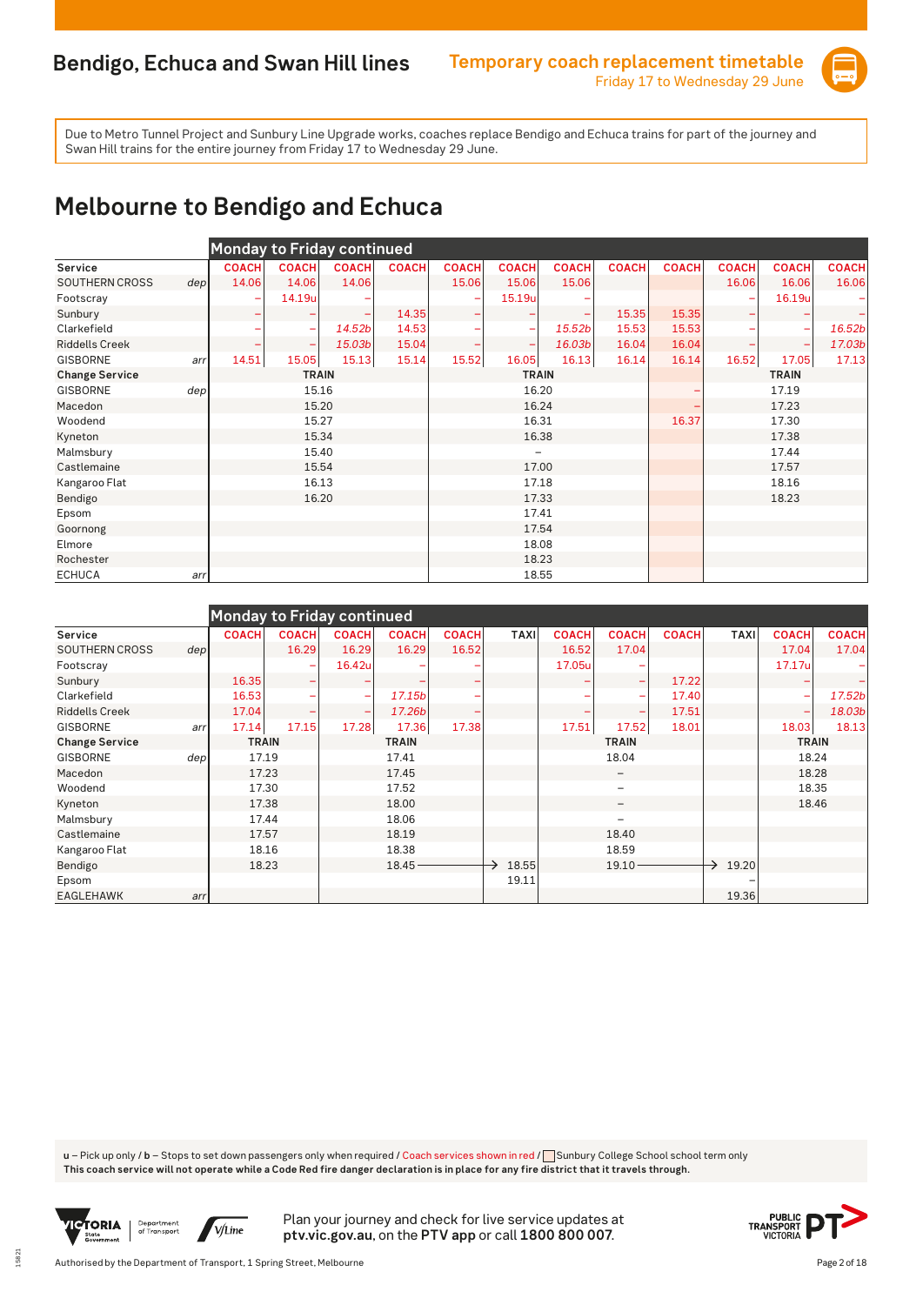

## **Melbourne to Bendigo and Echuca**

|                       |                  | <b>Monday to Friday continued</b> |                          |              |              |              |              |              |              |              |              |              |              |
|-----------------------|------------------|-----------------------------------|--------------------------|--------------|--------------|--------------|--------------|--------------|--------------|--------------|--------------|--------------|--------------|
| Service               |                  | <b>COACH</b>                      | <b>COACH</b>             | <b>COACH</b> | <b>COACH</b> | <b>COACH</b> | <b>COACH</b> | <b>COACH</b> | <b>COACH</b> | <b>COACH</b> | <b>COACH</b> | <b>COACH</b> | <b>COACH</b> |
| <b>SOUTHERN CROSS</b> | dep <sub>l</sub> | 14.06                             | 14.06                    | 14.06        |              | 15.06        | 15.06        | 15.06        |              |              | 16.06        | 16.06        | 16.06        |
| Footscray             |                  |                                   | 14.19u                   |              |              |              | 15.19u       |              |              |              |              | 16.19u       |              |
| Sunbury               |                  | ۰                                 |                          | -            | 14.35        |              |              | -            | 15.35        | 15.35        | -            |              | -            |
| Clarkefield           |                  |                                   | $\overline{\phantom{0}}$ | 14.52b       | 14.53        |              | ۰            | 15.52b       | 15.53        | 15.53        |              |              | 16.52b       |
| <b>Riddells Creek</b> |                  |                                   | $\overline{\phantom{0}}$ | 15.03b       | 15.04        |              |              | 16.03b       | 16.04        | 16.04        |              | -            | 17.03b       |
| <b>GISBORNE</b>       | arr              | 14.51                             | 15.05                    | 15.13        | 15.14        | 15.52        | 16.05        | 16.13        | 16.14        | 16.14        | 16.52        | 17.05        | 17.13        |
| <b>Change Service</b> |                  |                                   | <b>TRAIN</b>             |              |              |              | <b>TRAIN</b> |              |              |              |              | <b>TRAIN</b> |              |
| <b>GISBORNE</b>       | dep              |                                   | 15.16                    |              |              |              | 16.20        |              |              |              |              | 17.19        |              |
| Macedon               |                  |                                   | 15.20                    |              |              |              | 16.24        |              |              |              |              | 17.23        |              |
| Woodend               |                  |                                   | 15.27                    |              |              |              | 16.31        |              |              | 16.37        |              | 17.30        |              |
| Kyneton               |                  |                                   | 15.34                    |              |              |              | 16.38        |              |              |              |              | 17.38        |              |
| Malmsbury             |                  |                                   | 15.40                    |              |              |              | -            |              |              |              |              | 17.44        |              |
| Castlemaine           |                  |                                   | 15.54                    |              |              |              | 17.00        |              |              |              |              | 17.57        |              |
| Kangaroo Flat         |                  |                                   | 16.13                    |              |              |              | 17.18        |              |              |              |              | 18.16        |              |
| Bendigo               |                  |                                   | 16.20                    |              |              |              | 17.33        |              |              |              |              | 18.23        |              |
| Epsom                 |                  |                                   |                          |              |              |              | 17.41        |              |              |              |              |              |              |
| Goornong              |                  |                                   |                          |              |              |              | 17.54        |              |              |              |              |              |              |
| Elmore                |                  |                                   |                          |              |              |              | 18.08        |              |              |              |              |              |              |
| Rochester             |                  |                                   |                          |              |              |              | 18.23        |              |              |              |              |              |              |
| <b>ECHUCA</b>         | arr              |                                   |                          |              |              |              | 18.55        |              |              |              |              |              |              |

|                       |      | <b>Monday to Friday continued</b> |              |                          |              |              |       |             |              |                          |              |             |              |              |
|-----------------------|------|-----------------------------------|--------------|--------------------------|--------------|--------------|-------|-------------|--------------|--------------------------|--------------|-------------|--------------|--------------|
| Service               |      | <b>COACH</b>                      | <b>COACH</b> | <b>COACH</b>             | <b>COACH</b> | <b>COACH</b> |       | <b>TAXI</b> | <b>COACH</b> | <b>COACH</b>             | <b>COACH</b> | <b>TAXI</b> | <b>COACH</b> | <b>COACH</b> |
| <b>SOUTHERN CROSS</b> | depl |                                   | 16.29        | 16.29                    | 16.29        | 16.52        |       |             | 16.52        | 17.04                    |              |             | 17.04        | 17.04        |
| Footscray             |      |                                   |              | 16.42u                   |              |              |       |             | 17.05u       |                          |              |             | 17.17u       |              |
| Sunbury               |      | 16.35                             |              |                          |              |              |       |             |              | -                        | 17.22        |             |              |              |
| Clarkefield           |      | 16.53                             |              | $\overline{\phantom{0}}$ | 17.15b       |              |       |             |              |                          | 17.40        |             |              | 17.52b       |
| <b>Riddells Creek</b> |      | 17.04                             |              | $\overline{\phantom{0}}$ | 17.26b       | -            |       |             |              | -                        | 17.51        |             | -            | 18.03b       |
| <b>GISBORNE</b>       | arr  | 17.14                             | 17.15        | 17.28                    | 17.36        | 17.38        |       |             | 17.51        | 17.52                    | 18.01        |             | 18.03        | 18.13        |
| <b>Change Service</b> |      | <b>TRAIN</b>                      |              |                          | <b>TRAIN</b> |              |       |             |              | <b>TRAIN</b>             |              |             | <b>TRAIN</b> |              |
| <b>GISBORNE</b>       | dep  | 17.19                             |              |                          | 17.41        |              |       |             |              | 18.04                    |              |             | 18.24        |              |
| Macedon               |      | 17.23                             |              |                          | 17.45        |              |       |             |              | $\overline{\phantom{0}}$ |              |             | 18.28        |              |
| Woodend               |      | 17.30                             |              |                          | 17.52        |              |       |             |              | $\overline{\phantom{0}}$ |              |             | 18.35        |              |
| Kyneton               |      | 17.38                             |              |                          | 18.00        |              |       |             |              | $\overline{\phantom{0}}$ |              |             | 18.46        |              |
| Malmsbury             |      | 17.44                             |              |                          | 18.06        |              |       |             |              | -                        |              |             |              |              |
| Castlemaine           |      | 17.57                             |              |                          | 18.19        |              |       |             |              | 18.40                    |              |             |              |              |
| Kangaroo Flat         |      | 18.16                             |              |                          | 18.38        |              |       |             |              | 18.59                    |              |             |              |              |
| Bendigo               |      | 18.23                             |              |                          | $18.45 -$    |              | 18.55 |             |              | 19.10                    |              | 19.20       |              |              |
| Epsom                 |      |                                   |              |                          |              |              | 19.11 |             |              |                          |              |             |              |              |
| <b>EAGLEHAWK</b>      | arr  |                                   |              |                          |              |              |       |             |              |                          |              | 19.36       |              |              |

u – Pick up only / b – Stops to set down passengers only when required / Coach services shown in red / Sunbury College School school term only **This coach service will not operate while a Code Red fire danger declaration is in place for any fire district that it travels through.**



15821

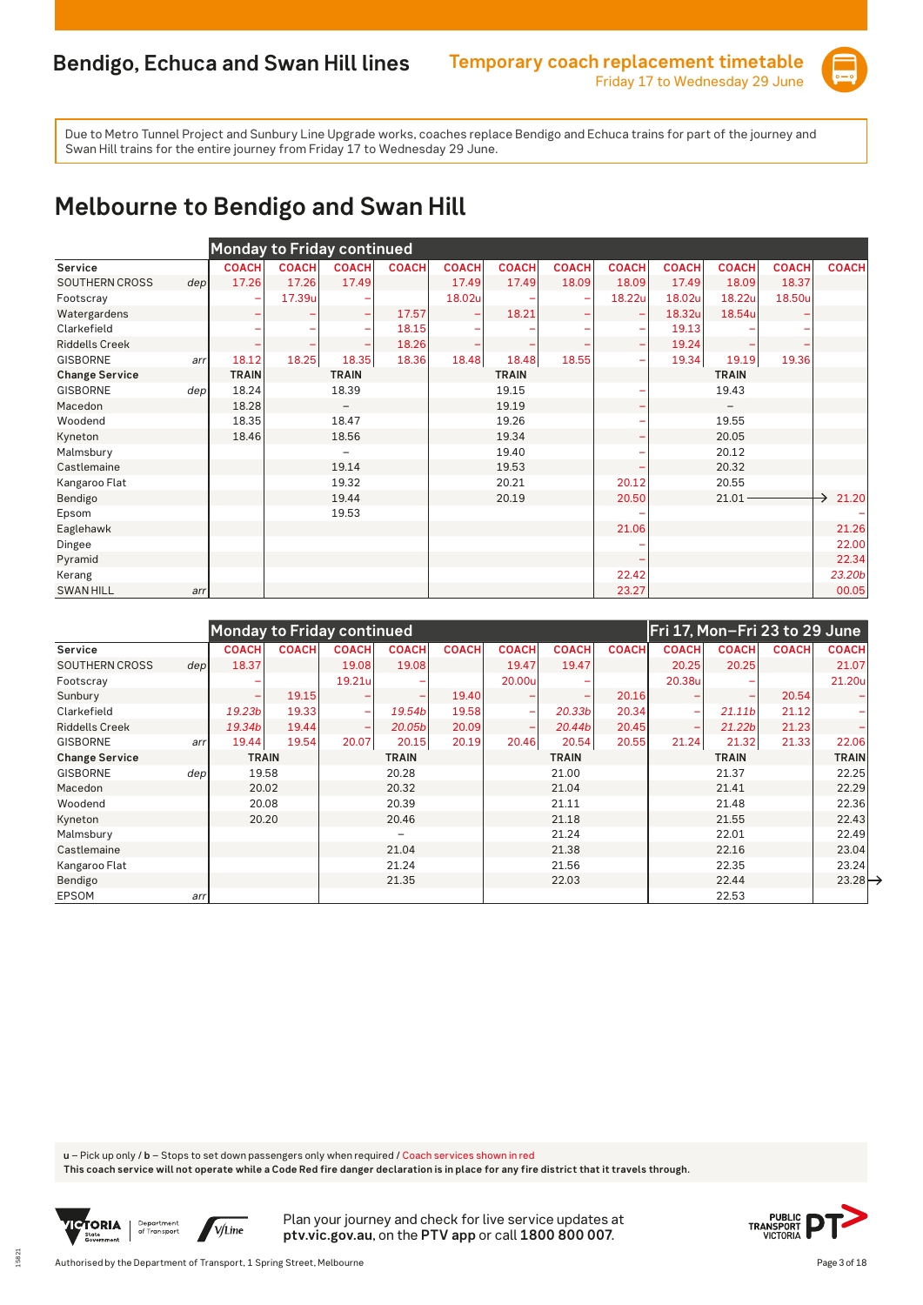

## **Melbourne to Bendigo and Swan Hill**

|                       |                  | Monday to Friday continued |              |                          |              |              |              |              |              |              |              |              |              |
|-----------------------|------------------|----------------------------|--------------|--------------------------|--------------|--------------|--------------|--------------|--------------|--------------|--------------|--------------|--------------|
| Service               |                  | <b>COACH</b>               | <b>COACH</b> | <b>COACH</b>             | <b>COACH</b> | <b>COACH</b> | <b>COACH</b> | <b>COACH</b> | <b>COACH</b> | <b>COACH</b> | <b>COACH</b> | <b>COACH</b> | <b>COACH</b> |
| <b>SOUTHERN CROSS</b> | dep              | 17.26                      | 17.26        | 17.49                    |              | 17.49        | 17.49        | 18.09        | 18.09        | 17.49        | 18.09        | 18.37        |              |
| Footscray             |                  |                            | 17.39u       |                          |              | 18.02u       |              |              | 18.22u       | 18.02u       | 18.22u       | 18.50u       |              |
| Watergardens          |                  |                            |              | $\overline{\phantom{0}}$ | 17.57        |              | 18.21        |              |              | 18.32u       | 18.54u       |              |              |
| Clarkefield           |                  |                            |              | ۰                        | 18.15        |              |              |              | -            | 19.13        |              |              |              |
| <b>Riddells Creek</b> |                  | ۰                          |              |                          | 18.26        |              |              |              | -            | 19.24        |              |              |              |
| <b>GISBORNE</b>       | arr              | 18.12                      | 18.25        | 18.35                    | 18.36        | 18.48        | 18.48        | 18.55        |              | 19.34        | 19.19        | 19.36        |              |
| <b>Change Service</b> |                  | <b>TRAIN</b>               |              | <b>TRAIN</b>             |              |              | <b>TRAIN</b> |              |              |              | <b>TRAIN</b> |              |              |
| <b>GISBORNE</b>       | dep <sub>l</sub> | 18.24                      |              | 18.39                    |              |              | 19.15        |              |              |              | 19.43        |              |              |
| Macedon               |                  | 18.28                      |              |                          |              |              | 19.19        |              |              |              |              |              |              |
| Woodend               |                  | 18.35                      |              | 18.47                    |              |              | 19.26        |              |              |              | 19.55        |              |              |
| Kyneton               |                  | 18.46                      |              | 18.56                    |              |              | 19.34        |              |              |              | 20.05        |              |              |
| Malmsbury             |                  |                            |              | $\overline{\phantom{0}}$ |              |              | 19.40        |              |              |              | 20.12        |              |              |
| Castlemaine           |                  |                            |              | 19.14                    |              |              | 19.53        |              |              |              | 20.32        |              |              |
| Kangaroo Flat         |                  |                            |              | 19.32                    |              |              | 20.21        |              | 20.12        |              | 20.55        |              |              |
| Bendigo               |                  |                            |              | 19.44                    |              |              | 20.19        |              | 20.50        |              | $21.01 -$    |              | 21.20        |
| Epsom                 |                  |                            |              | 19.53                    |              |              |              |              |              |              |              |              |              |
| Eaglehawk             |                  |                            |              |                          |              |              |              |              | 21.06        |              |              |              | 21.26        |
| Dingee                |                  |                            |              |                          |              |              |              |              |              |              |              |              | 22.00        |
| Pyramid               |                  |                            |              |                          |              |              |              |              |              |              |              |              | 22.34        |
| Kerang                |                  |                            |              |                          |              |              |              |              | 22.42        |              |              |              | 23.20b       |
| <b>SWAN HILL</b>      | arr              |                            |              |                          |              |              |              |              | 23.27        |              |              |              | 00.05        |

|                       |     | Monday to Friday continued |              |              |              |              |              |              |              | Fri 17, Mon-Fri 23 to 29 June |                    |              |                     |
|-----------------------|-----|----------------------------|--------------|--------------|--------------|--------------|--------------|--------------|--------------|-------------------------------|--------------------|--------------|---------------------|
| Service               |     | <b>COACH</b>               | <b>COACH</b> | <b>COACH</b> | <b>COACH</b> | <b>COACH</b> | <b>COACH</b> | <b>COACH</b> | <b>COACH</b> | <b>COACH</b>                  | <b>COACH</b>       | <b>COACH</b> | <b>COACH</b>        |
| <b>SOUTHERN CROSS</b> | dep | 18.37                      |              | 19.08        | 19.08        |              | 19.47        | 19.47        |              | 20.25                         | 20.25              |              | 21.07               |
| Footscray             |     |                            |              | 19.21u       |              |              | 20.00u       |              |              | 20.38u                        |                    |              | 21.20u              |
| Sunbury               |     | -                          | 19.15        | -            |              | 19.40        |              |              | 20.16        | -                             |                    | 20.54        |                     |
| Clarkefield           |     | 19.23 <sub>b</sub>         | 19.33        | ۰            | 19.54b       | 19.58        | ۰            | 20.33b       | 20.34        | ۰                             | 21.11b             | 21.12        |                     |
| <b>Riddells Creek</b> |     | 19.34b                     | 19.44        | ۰            | 20.05b       | 20.09        | -            | 20.44b       | 20.45        | ۰                             | 21.22 <sub>b</sub> | 21.23        |                     |
| <b>GISBORNE</b>       | arr | 19.44                      | 19.54        | 20.07        | 20.15        | 20.19        | 20.46        | 20.54        | 20.55        | 21.24                         | 21.32              | 21.33        | 22.06               |
| <b>Change Service</b> |     | <b>TRAIN</b>               |              |              | <b>TRAIN</b> |              |              | <b>TRAIN</b> |              |                               | <b>TRAIN</b>       |              | <b>TRAIN</b>        |
| <b>GISBORNE</b>       | dep | 19.58                      |              |              | 20.28        |              |              | 21.00        |              |                               | 21.37              |              | 22.25               |
| Macedon               |     | 20.02                      |              |              | 20.32        |              |              | 21.04        |              |                               | 21.41              |              | 22.29               |
| Woodend               |     | 20.08                      |              |              | 20.39        |              |              | 21.11        |              |                               | 21.48              |              | 22.36               |
| Kyneton               |     | 20.20                      |              |              | 20.46        |              |              | 21.18        |              |                               | 21.55              |              | 22.43               |
| Malmsbury             |     |                            |              |              | -            |              |              | 21.24        |              |                               | 22.01              |              | 22.49               |
| Castlemaine           |     |                            |              |              | 21.04        |              |              | 21.38        |              |                               | 22.16              |              | 23.04               |
| Kangaroo Flat         |     |                            |              |              | 21.24        |              |              | 21.56        |              |                               | 22.35              |              | 23.24               |
| Bendigo               |     |                            |              |              | 21.35        |              |              | 22.03        |              |                               | 22.44              |              | $23.28 \rightarrow$ |
| EPSOM                 | arr |                            |              |              |              |              |              |              |              |                               | 22.53              |              |                     |

**u** – Pick up only / **b** – Stops to set down passengers only when required / Coach services shown in red

**This coach service will not operate while a Code Red fire danger declaration is in place for any fire district that it travels through.**



15821

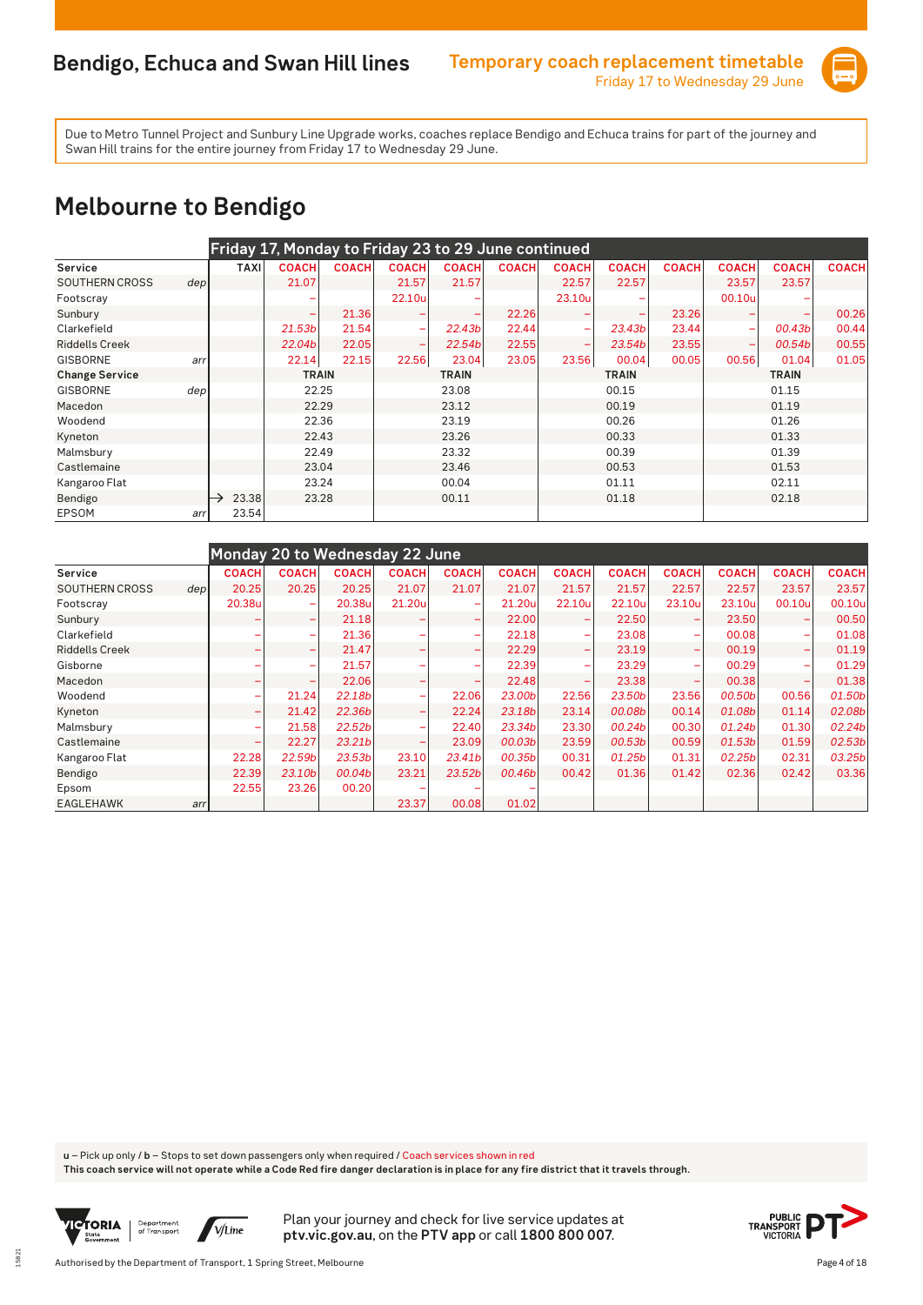

### **Melbourne to Bendigo**

|                       |     | Friday 17, Monday to Friday 23 to 29 June continued |                    |              |                          |                    |              |              |              |              |              |                    |              |
|-----------------------|-----|-----------------------------------------------------|--------------------|--------------|--------------------------|--------------------|--------------|--------------|--------------|--------------|--------------|--------------------|--------------|
| Service               |     | <b>TAXI</b>                                         | <b>COACH</b>       | <b>COACH</b> | <b>COACH</b>             | <b>COACH</b>       | <b>COACH</b> | <b>COACH</b> | <b>COACH</b> | <b>COACH</b> | <b>COACH</b> | <b>COACH</b>       | <b>COACH</b> |
| <b>SOUTHERN CROSS</b> | dep |                                                     | 21.07              |              | 21.57                    | 21.57              |              | 22.57        | 22.57        |              | 23.57        | 23.57              |              |
| Footscray             |     |                                                     |                    |              | 22.10u                   |                    |              | 23.10u       |              |              | 00.10u       |                    |              |
| Sunbury               |     |                                                     |                    | 21.36        |                          |                    | 22.26        |              |              | 23.26        |              |                    | 00.26        |
| Clarkefield           |     |                                                     | 21.53b             | 21.54        | $\overline{\phantom{0}}$ | 22.43 <sub>b</sub> | 22.44        | ۰            | 23.43b       | 23.44        | -            | 00.43 <sub>b</sub> | 00.44        |
| <b>Riddells Creek</b> |     |                                                     | 22.04 <sub>b</sub> | 22.05        |                          | 22.54b             | 22.55        | -            | 23.54b       | 23.55        | -            | 00.54b             | 00.55        |
| <b>GISBORNE</b>       | arr |                                                     | 22.14              | 22.15        | 22.56                    | 23.04              | 23.05        | 23.56        | 00.04        | 00.05        | 00.56        | 01.04              | 01.05        |
| <b>Change Service</b> |     |                                                     | <b>TRAIN</b>       |              |                          | <b>TRAIN</b>       |              |              | <b>TRAIN</b> |              |              | <b>TRAIN</b>       |              |
| <b>GISBORNE</b>       | dep |                                                     | 22.25              |              |                          | 23.08              |              |              | 00.15        |              |              | 01.15              |              |
| Macedon               |     |                                                     | 22.29              |              |                          | 23.12              |              |              | 00.19        |              |              | 01.19              |              |
| Woodend               |     |                                                     | 22.36              |              |                          | 23.19              |              |              | 00.26        |              |              | 01.26              |              |
| Kyneton               |     |                                                     | 22.43              |              |                          | 23.26              |              |              | 00.33        |              |              | 01.33              |              |
| Malmsbury             |     |                                                     | 22.49              |              |                          | 23.32              |              |              | 00.39        |              |              | 01.39              |              |
| Castlemaine           |     |                                                     | 23.04              |              |                          | 23.46              |              |              | 00.53        |              |              | 01.53              |              |
| Kangaroo Flat         |     |                                                     | 23.24              |              |                          | 00.04              |              |              | 01.11        |              |              | 02.11              |              |
| Bendigo               |     | 23.38                                               | 23.28              |              |                          | 00.11              |              |              | 01.18        |              |              | 02.18              |              |
| EPSOM                 | arr | 23.54                                               |                    |              |                          |                    |              |              |              |              |              |                    |              |

|                       | Monday 20 to Wednesday 22 June |              |                    |                          |                          |                    |                          |              |                          |                    |                          |              |
|-----------------------|--------------------------------|--------------|--------------------|--------------------------|--------------------------|--------------------|--------------------------|--------------|--------------------------|--------------------|--------------------------|--------------|
| <b>Service</b>        | <b>COACH</b>                   | <b>COACH</b> | <b>COACH</b>       | <b>COACH</b>             | <b>COACH</b>             | <b>COACH</b>       | <b>COACH</b>             | <b>COACH</b> | <b>COACH</b>             | <b>COACH</b>       | <b>COACH</b>             | <b>COACH</b> |
| SOUTHERN CROSS<br>dep | 20.25                          | 20.25        | 20.25              | 21.07                    | 21.07                    | 21.07              | 21.57                    | 21.57        | 22.57                    | 22.57              | 23.57                    | 23.57        |
| Footscray             | 20.38u                         | ۰            | 20.38u             | 21.20u                   | ۰                        | 21.20u             | 22.10u                   | 22.10u       | 23.10u                   | 23.10u             | 00.10u                   | 00.10u       |
| Sunbury               |                                | -            | 21.18              |                          | $\overline{\phantom{0}}$ | 22.00              | $\overline{\phantom{0}}$ | 22.50        |                          | 23.50              |                          | 00.50        |
| Clarkefield           |                                | ۰            | 21.36              |                          | $\overline{\phantom{a}}$ | 22.18              | ۰                        | 23.08        |                          | 00.08              |                          | 01.08        |
| <b>Riddells Creek</b> | ۰                              | -            | 21.47              |                          | $\overline{\phantom{0}}$ | 22.29              | -                        | 23.19        | -                        | 00.19              | -                        | 01.19        |
| Gisborne              |                                | ۰            | 21.57              |                          | ۰                        | 22.39              | -                        | 23.29        | $\overline{\phantom{a}}$ | 00.29              | $\overline{\phantom{0}}$ | 01.29        |
| Macedon               | ۰                              | ۰            | 22.06              |                          | -                        | 22.48              | $\overline{\phantom{a}}$ | 23.38        | $\overline{\phantom{a}}$ | 00.38              | $\overline{\phantom{0}}$ | 01.38        |
| Woodend               | ۰                              | 21.24        | 22.18b             | $\overline{\phantom{0}}$ | 22.06                    | 23.00b             | 22.56                    | 23.50b       | 23.56                    | 00.50b             | 00.56                    | 01.50b       |
| Kyneton               | ۰                              | 21.42        | 22.36b             | $\overline{\phantom{a}}$ | 22.24                    | 23.18b             | 23.14                    | 00.08b       | 00.14                    | 01.08 <sub>b</sub> | 01.14                    | 02.08b       |
| Malmsbury             |                                | 21.58        | 22.52 <sub>b</sub> | $\overline{\phantom{0}}$ | 22.40                    | 23.34b             | 23.30                    | 00.24b       | 00.30                    | 01.24b             | 01.30                    | 02.24b       |
| Castlemaine           | ۰                              | 22.27        | 23.21 <sub>b</sub> |                          | 23.09                    | 00.03b             | 23.59                    | 00.53b       | 00.59                    | 01.53b             | 01.59                    | 02.53b       |
| Kangaroo Flat         | 22.28                          | 22.59b       | 23.53 <sub>b</sub> | 23.10                    | 23.41b                   | 00.35 <sub>b</sub> | 00.31                    | 01.25b       | 01.31                    | 02.25b             | 02.31                    | 03.25b       |
| Bendigo               | 22.39                          | 23.10b       | 00.04b             | 23.21                    | 23.52 <sub>b</sub>       | 00.46 <sub>b</sub> | 00.42                    | 01.36        | 01.42                    | 02.36              | 02.42                    | 03.36        |
| Epsom                 | 22.55                          | 23.26        | 00.20              |                          |                          |                    |                          |              |                          |                    |                          |              |
| <b>EAGLEHAWK</b>      | arr                            |              |                    | 23.37                    | 00.08                    | 01.02              |                          |              |                          |                    |                          |              |

**u** – Pick up only / **b** – Stops to set down passengers only when required / Coach services shown in red

**This coach service will not operate while a Code Red fire danger declaration is in place for any fire district that it travels through.**



15821

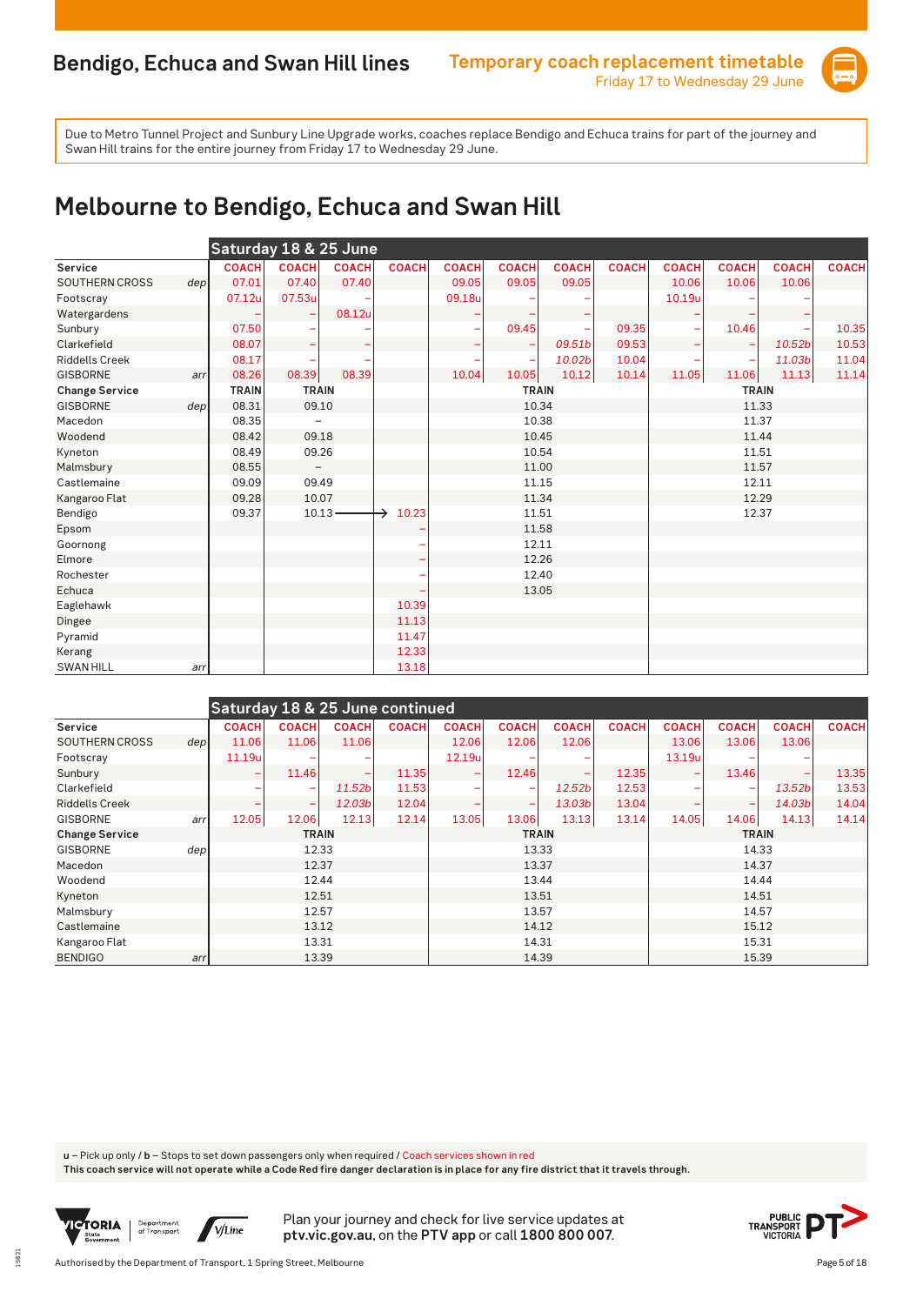

### **Melbourne to Bendigo, Echuca and Swan Hill**

|                       |     | Saturday 18 & 25 June |                          |              |                        |              |              |              |              |              |              |              |              |
|-----------------------|-----|-----------------------|--------------------------|--------------|------------------------|--------------|--------------|--------------|--------------|--------------|--------------|--------------|--------------|
| Service               |     | <b>COACH</b>          | <b>COACH</b>             | <b>COACH</b> | <b>COACH</b>           | <b>COACH</b> | <b>COACH</b> | <b>COACH</b> | <b>COACH</b> | <b>COACH</b> | <b>COACH</b> | <b>COACH</b> | <b>COACH</b> |
| SOUTHERN CROSS        | dep | 07.01                 | 07.40                    | 07.40        |                        | 09.05        | 09.05        | 09.05        |              | 10.06        | 10.06        | 10.06        |              |
| Footscray             |     | 07.12u                | 07.53u                   |              |                        | 09.18u       |              |              |              | 10.19u       |              |              |              |
| Watergardens          |     |                       |                          | 08.12u       |                        |              |              |              |              |              |              |              |              |
| Sunbury               |     | 07.50                 |                          |              |                        |              | 09.45        |              | 09.35        |              | 10.46        |              | 10.35        |
| Clarkefield           |     | 08.07                 |                          |              |                        |              |              | 09.51b       | 09.53        |              |              | 10.52b       | 10.53        |
| <b>Riddells Creek</b> |     | 08.17                 |                          |              |                        |              |              | 10.02b       | 10.04        |              | -            | 11.03b       | 11.04        |
| <b>GISBORNE</b>       | arr | 08.26                 | 08.39                    | 08.39        |                        | 10.04        | 10.05        | 10.12        | 10.14        | 11.05        | 11.06        | 11.13        | 11.14        |
| <b>Change Service</b> |     | <b>TRAIN</b>          | <b>TRAIN</b>             |              |                        |              | <b>TRAIN</b> |              |              |              | <b>TRAIN</b> |              |              |
| <b>GISBORNE</b>       | dep | 08.31                 | 09.10                    |              |                        |              | 10.34        |              |              |              | 11.33        |              |              |
| Macedon               |     | 08.35                 |                          |              |                        |              | 10.38        |              |              |              | 11.37        |              |              |
| Woodend               |     | 08.42                 | 09.18                    |              |                        |              | 10.45        |              |              |              | 11.44        |              |              |
| Kyneton               |     | 08.49                 | 09.26                    |              |                        |              | 10.54        |              |              |              | 11.51        |              |              |
| Malmsbury             |     | 08.55                 | $\overline{\phantom{a}}$ |              |                        |              | 11.00        |              |              |              | 11.57        |              |              |
| Castlemaine           |     | 09.09                 | 09.49                    |              |                        |              | 11.15        |              |              |              | 12.11        |              |              |
| Kangaroo Flat         |     | 09.28                 | 10.07                    |              |                        |              | 11.34        |              |              |              | 12.29        |              |              |
| Bendigo               |     | 09.37                 | $10.13 -$                |              | 10.23<br>$\rightarrow$ |              | 11.51        |              |              |              | 12.37        |              |              |
| Epsom                 |     |                       |                          |              |                        |              | 11.58        |              |              |              |              |              |              |
| Goornong              |     |                       |                          |              |                        |              | 12.11        |              |              |              |              |              |              |
| Elmore                |     |                       |                          |              |                        |              | 12.26        |              |              |              |              |              |              |
| Rochester             |     |                       |                          |              |                        |              | 12.40        |              |              |              |              |              |              |
| Echuca                |     |                       |                          |              |                        |              | 13.05        |              |              |              |              |              |              |
| Eaglehawk             |     |                       |                          |              | 10.39                  |              |              |              |              |              |              |              |              |
| Dingee                |     |                       |                          |              | 11.13                  |              |              |              |              |              |              |              |              |
| Pyramid               |     |                       |                          |              | 11.47                  |              |              |              |              |              |              |              |              |
| Kerang                |     |                       |                          |              | 12.33                  |              |              |              |              |              |              |              |              |
| <b>SWAN HILL</b>      | arr |                       |                          |              | 13.18                  |              |              |              |              |              |              |              |              |

|                       |                  | Saturday 18 & 25 June continued |              |                              |              |              |                          |                    |              |              |              |              |              |
|-----------------------|------------------|---------------------------------|--------------|------------------------------|--------------|--------------|--------------------------|--------------------|--------------|--------------|--------------|--------------|--------------|
| Service               |                  | <b>COACH</b>                    | <b>COACH</b> | <b>COACH</b>                 | <b>COACH</b> | <b>COACH</b> | <b>COACH</b>             | <b>COACH</b>       | <b>COACH</b> | <b>COACH</b> | <b>COACH</b> | <b>COACH</b> | <b>COACH</b> |
| SOUTHERN CROSS        | dep <sub>l</sub> | 11.06                           | 11.06        | 11.06                        |              | 12.06        | 12.06                    | 12.06              |              | 13.06        | 13.06        | 13.06        |              |
| Footscray             |                  | 11.19u                          |              |                              |              | 12.19u       |                          |                    |              | 13.19u       |              |              |              |
| Sunbury               |                  |                                 | 11.46        | $\qquad \qquad \blacksquare$ | 11.35        |              | 12.46                    | -                  | 12.35        | -            | 13.46        | ۳            | 13.35        |
| Clarkefield           |                  |                                 |              | 11.52b                       | 11.53        |              | $\overline{\phantom{0}}$ | 12.52 <sub>b</sub> | 12.53        |              | -            | 13.52b       | 13.53        |
| <b>Riddells Creek</b> |                  |                                 |              | 12.03 <sub>b</sub>           | 12.04        |              | $\overline{\phantom{0}}$ | 13.03 <sub>b</sub> | 13.04        |              | -            | 14.03b       | 14.04        |
| <b>GISBORNE</b>       | arr              | 12.05                           | 12.06        | 12.13                        | 12.14        | 13.05        | 13.06                    | 13.13              | 13.14        | 14.05        | 14.06        | 14.13        | 14.14        |
| <b>Change Service</b> |                  |                                 | <b>TRAIN</b> |                              |              |              | <b>TRAIN</b>             |                    |              |              | <b>TRAIN</b> |              |              |
| <b>GISBORNE</b>       | dep              |                                 | 12.33        |                              |              |              | 13.33                    |                    |              |              | 14.33        |              |              |
| Macedon               |                  |                                 | 12.37        |                              |              |              | 13.37                    |                    |              |              | 14.37        |              |              |
| Woodend               |                  |                                 | 12.44        |                              |              |              | 13.44                    |                    |              |              | 14.44        |              |              |
| Kyneton               |                  |                                 | 12.51        |                              |              |              | 13.51                    |                    |              |              | 14.51        |              |              |
| Malmsbury             |                  |                                 | 12.57        |                              |              |              | 13.57                    |                    |              |              | 14.57        |              |              |
| Castlemaine           |                  |                                 | 13.12        |                              |              |              | 14.12                    |                    |              |              | 15.12        |              |              |
| Kangaroo Flat         |                  |                                 | 13.31        |                              |              |              | 14.31                    |                    |              |              | 15.31        |              |              |
| <b>BENDIGO</b>        | arr              |                                 | 13.39        |                              |              |              | 14.39                    |                    |              |              | 15.39        |              |              |

**u** – Pick up only / **b** – Stops to set down passengers only when required / Coach services shown in red

**This coach service will not operate while a Code Red fire danger declaration is in place for any fire district that it travels through.**



15821

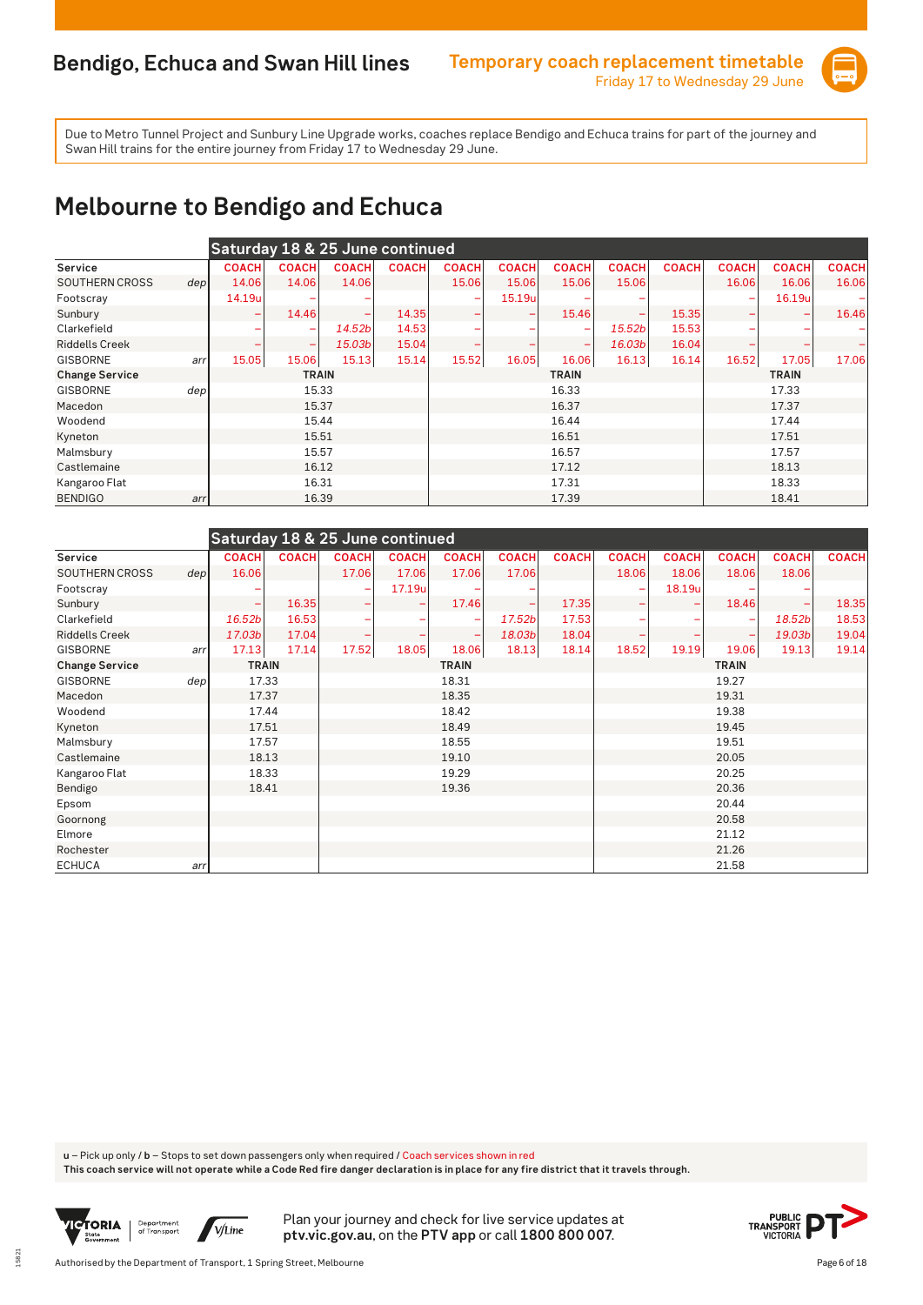

## **Melbourne to Bendigo and Echuca**

|                       |     | Saturday 18 & 25 June continued |              |                          |              |              |              |                          |                          |              |                          |              |              |
|-----------------------|-----|---------------------------------|--------------|--------------------------|--------------|--------------|--------------|--------------------------|--------------------------|--------------|--------------------------|--------------|--------------|
| Service               |     | <b>COACH</b>                    | <b>COACH</b> | <b>COACH</b>             | <b>COACH</b> | <b>COACH</b> | <b>COACH</b> | <b>COACH</b>             | <b>COACH</b>             | <b>COACH</b> | <b>COACH</b>             | <b>COACH</b> | <b>COACH</b> |
| <b>SOUTHERN CROSS</b> | dep | 14.06                           | 14.06        | 14.06                    |              | 15.06        | 15.06        | 15.06                    | 15.06                    |              | 16.06                    | 16.06        | 16.06        |
| Footscray             |     | 14.19u                          |              |                          |              |              | 15.19u       |                          |                          |              | -                        | 16.19u       |              |
| Sunbury               |     | ۰                               | 14.46        | $\overline{\phantom{0}}$ | 14.35        |              |              | 15.46                    | $\overline{\phantom{0}}$ | 15.35        | -                        |              | 16.46        |
| Clarkefield           |     | ۰                               | ۰            | 14.52b                   | 14.53        |              |              | $\overline{\phantom{0}}$ | 15.52b                   | 15.53        | $\overline{\phantom{0}}$ |              |              |
| <b>Riddells Creek</b> |     |                                 |              | 15.03b                   | 15.04        |              |              |                          | 16.03 <sub>b</sub>       | 16.04        | -                        |              |              |
| <b>GISBORNE</b>       | arr | 15.05                           | 15.06        | 15.13                    | 15.14        | 15.52        | 16.05        | 16.06                    | 16.13                    | 16.14        | 16.52                    | 17.05        | 17.06        |
| <b>Change Service</b> |     |                                 | <b>TRAIN</b> |                          |              |              |              | <b>TRAIN</b>             |                          |              |                          | <b>TRAIN</b> |              |
| <b>GISBORNE</b>       | dep |                                 | 15.33        |                          |              |              |              | 16.33                    |                          |              |                          | 17.33        |              |
| Macedon               |     |                                 | 15.37        |                          |              |              |              | 16.37                    |                          |              |                          | 17.37        |              |
| Woodend               |     |                                 | 15.44        |                          |              |              |              | 16.44                    |                          |              |                          | 17.44        |              |
| Kyneton               |     |                                 | 15.51        |                          |              |              |              | 16.51                    |                          |              |                          | 17.51        |              |
| Malmsbury             |     |                                 | 15.57        |                          |              |              |              | 16.57                    |                          |              |                          | 17.57        |              |
| Castlemaine           |     |                                 | 16.12        |                          |              |              |              | 17.12                    |                          |              |                          | 18.13        |              |
| Kangaroo Flat         |     |                                 | 16.31        |                          |              |              |              | 17.31                    |                          |              |                          | 18.33        |              |
| <b>BENDIGO</b>        | arr |                                 | 16.39        |                          |              |              |              | 17.39                    |                          |              |                          | 18.41        |              |

|                       |                  | Saturday 18 & 25 June continued |              |              |              |                          |              |              |              |              |              |              |              |
|-----------------------|------------------|---------------------------------|--------------|--------------|--------------|--------------------------|--------------|--------------|--------------|--------------|--------------|--------------|--------------|
| Service               |                  | <b>COACH</b>                    | <b>COACH</b> | <b>COACH</b> | <b>COACH</b> | <b>COACH</b>             | <b>COACH</b> | <b>COACH</b> | <b>COACH</b> | <b>COACH</b> | <b>COACH</b> | <b>COACH</b> | <b>COACH</b> |
| <b>SOUTHERN CROSS</b> | dep <sub>l</sub> | 16.06                           |              | 17.06        | 17.06        | 17.06                    | 17.06        |              | 18.06        | 18.06        | 18.06        | 18.06        |              |
| Footscray             |                  |                                 |              |              | 17.19u       |                          |              |              |              | 18.19u       |              |              |              |
| Sunbury               |                  | -                               | 16.35        | ۰            |              | 17.46                    | -            | 17.35        |              |              | 18.46        | -            | 18.35        |
| Clarkefield           |                  | 16.52b                          | 16.53        |              |              |                          | 17.52b       | 17.53        |              |              |              | 18.52b       | 18.53        |
| <b>Riddells Creek</b> |                  | 17.03b                          | 17.04        |              |              | $\overline{\phantom{0}}$ | 18.03b       | 18.04        |              |              |              | 19.03b       | 19.04        |
| <b>GISBORNE</b>       | arr              | 17.13                           | 17.14        | 17.52        | 18.05        | 18.06                    | 18.13        | 18.14        | 18.52        | 19.19        | 19.06        | 19.13        | 19.14        |
| <b>Change Service</b> |                  | <b>TRAIN</b>                    |              |              |              | <b>TRAIN</b>             |              |              |              |              | <b>TRAIN</b> |              |              |
| <b>GISBORNE</b>       | dep <sub>l</sub> | 17.33                           |              |              | 18.31        |                          |              |              |              |              | 19.27        |              |              |
| Macedon               |                  | 17.37                           |              | 18.35        |              |                          |              |              |              |              | 19.31        |              |              |
| Woodend               |                  | 17.44                           |              |              |              | 18.42                    |              |              |              |              | 19.38        |              |              |
| Kyneton               |                  | 17.51                           |              |              |              | 18.49                    |              |              |              |              | 19.45        |              |              |
| Malmsbury             |                  | 17.57                           |              |              |              | 18.55                    |              |              |              |              | 19.51        |              |              |
| Castlemaine           |                  | 18.13                           |              |              |              | 19.10                    |              |              |              |              | 20.05        |              |              |
| Kangaroo Flat         |                  | 18.33                           |              |              |              | 19.29                    |              |              |              |              | 20.25        |              |              |
| Bendigo               |                  | 18.41                           |              |              |              | 19.36                    |              |              |              |              | 20.36        |              |              |
| Epsom                 |                  |                                 |              |              |              |                          |              |              |              |              | 20.44        |              |              |
| Goornong              |                  |                                 |              |              |              |                          |              |              |              |              | 20.58        |              |              |
| Elmore                |                  |                                 |              |              |              |                          |              |              |              |              | 21.12        |              |              |
| Rochester             |                  |                                 |              | 21.26        |              |                          |              |              |              |              |              |              |              |
| <b>ECHUCA</b>         | arr              |                                 |              |              |              |                          |              |              |              |              | 21.58        |              |              |

**u** – Pick up only / **b** – Stops to set down passengers only when required / Coach services shown in red

**This coach service will not operate while a Code Red fire danger declaration is in place for any fire district that it travels through.**



15821

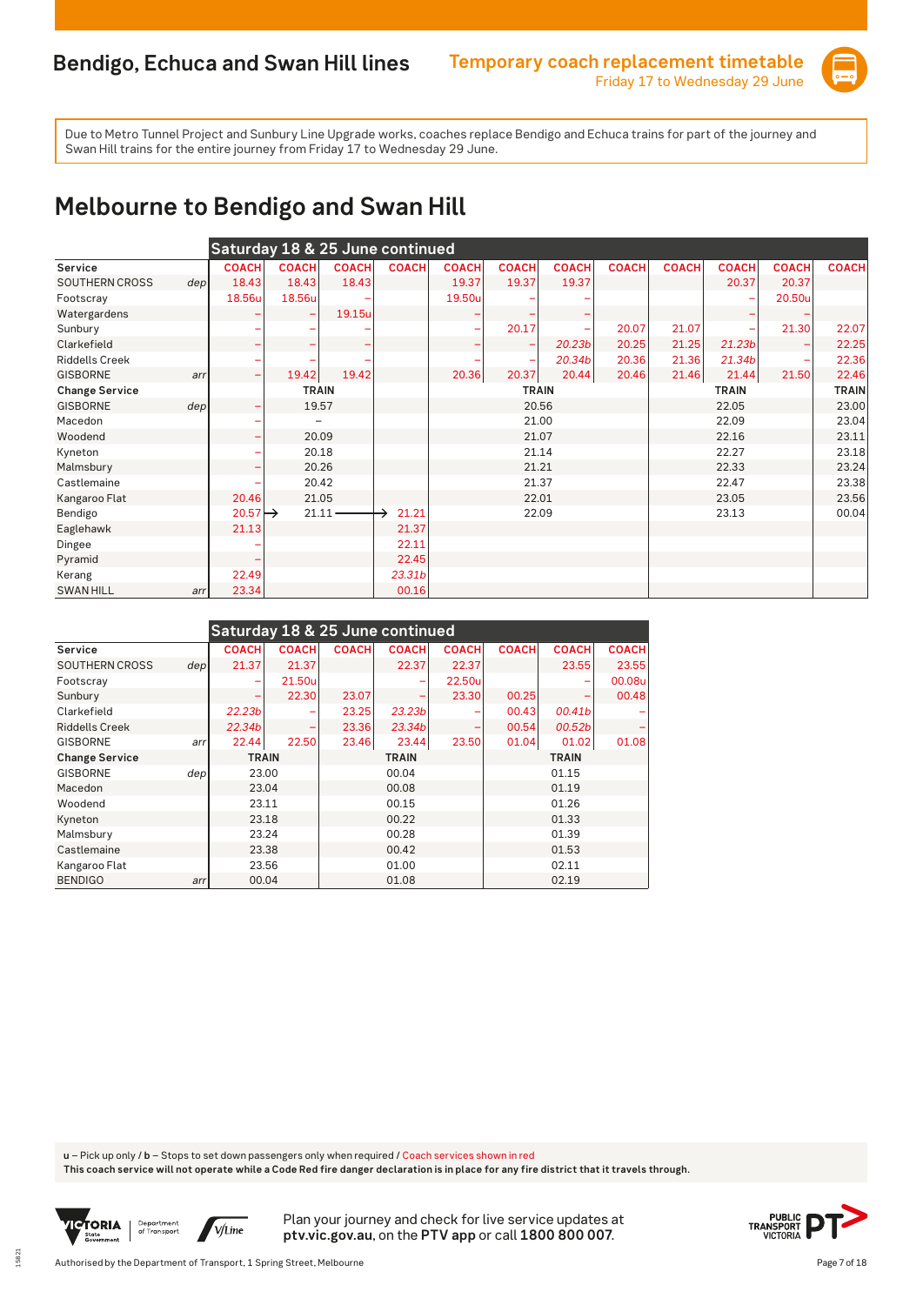

## **Melbourne to Bendigo and Swan Hill**

|                       |     |                          | Saturday 18 & 25 June continued |              |              |              |              |                    |              |              |              |              |              |
|-----------------------|-----|--------------------------|---------------------------------|--------------|--------------|--------------|--------------|--------------------|--------------|--------------|--------------|--------------|--------------|
| Service               |     | <b>COACH</b>             | <b>COACH</b>                    | <b>COACH</b> | <b>COACH</b> | <b>COACH</b> | <b>COACH</b> | <b>COACH</b>       | <b>COACH</b> | <b>COACH</b> | <b>COACH</b> | <b>COACH</b> | <b>COACH</b> |
| <b>SOUTHERN CROSS</b> | dep | 18.43                    | 18.43                           | 18.43        |              | 19.37        | 19.37        | 19.37              |              |              | 20.37        | 20.37        |              |
| Footscray             |     | 18.56u                   | 18.56u                          |              |              | 19.50u       |              |                    |              |              |              | 20.50u       |              |
| Watergardens          |     |                          |                                 | 19.15u       |              |              |              |                    |              |              |              |              |              |
| Sunbury               |     |                          |                                 |              |              |              | 20.17        |                    | 20.07        | 21.07        |              | 21.30        | 22.07        |
| Clarkefield           |     | Ξ                        |                                 |              |              |              |              | 20.23 <sub>b</sub> | 20.25        | 21.25        | 21.23b       |              | 22.25        |
| <b>Riddells Creek</b> |     |                          |                                 |              |              |              |              | 20.34b             | 20.36        | 21.36        | 21.34b       |              | 22.36        |
| <b>GISBORNE</b>       | arr | ۳                        | 19.42                           | 19.42        |              | 20.36        | 20.37        | 20.44              | 20.46        | 21.46        | 21.44        | 21.50        | 22.46        |
| <b>Change Service</b> |     |                          | <b>TRAIN</b>                    |              |              |              | <b>TRAIN</b> |                    |              |              | <b>TRAIN</b> |              | <b>TRAIN</b> |
| <b>GISBORNE</b>       | dep | ۰                        | 19.57                           |              |              |              | 20.56        |                    |              |              | 22.05        |              | 23.00        |
| Macedon               |     |                          |                                 |              |              |              | 21.00        |                    |              |              | 22.09        |              | 23.04        |
| Woodend               |     | ÷                        | 20.09                           |              |              |              | 21.07        |                    |              |              | 22.16        |              | 23.11        |
| Kyneton               |     | ۰                        | 20.18                           |              |              |              | 21.14        |                    |              |              | 22.27        |              | 23.18        |
| Malmsbury             |     | $\overline{\phantom{0}}$ | 20.26                           |              |              |              | 21.21        |                    |              |              | 22.33        |              | 23.24        |
| Castlemaine           |     |                          | 20.42                           |              |              |              | 21.37        |                    |              |              | 22.47        |              | 23.38        |
| Kangaroo Flat         |     | 20.46                    | 21.05                           |              |              |              | 22.01        |                    |              |              | 23.05        |              | 23.56        |
| Bendigo               |     | $20.57 \rightarrow$      | $21.11 -$                       |              | 21.21        |              | 22.09        |                    |              |              | 23.13        |              | 00.04        |
| Eaglehawk             |     | 21.13                    |                                 |              | 21.37        |              |              |                    |              |              |              |              |              |
| Dingee                |     |                          |                                 |              | 22.11        |              |              |                    |              |              |              |              |              |
| Pyramid               |     | ۰                        |                                 |              | 22.45        |              |              |                    |              |              |              |              |              |
| Kerang                |     | 22.49                    |                                 |              | 23.31b       |              |              |                    |              |              |              |              |              |
| <b>SWAN HILL</b>      | arr | 23.34                    |                                 |              | 00.16        |              |              |                    |              |              |              |              |              |

|                       |     | Saturday 18 & 25 June continued |              |              |                    |              |              |              |              |
|-----------------------|-----|---------------------------------|--------------|--------------|--------------------|--------------|--------------|--------------|--------------|
| Service               |     | <b>COACH</b>                    | <b>COACH</b> | <b>COACH</b> | <b>COACH</b>       | <b>COACH</b> | <b>COACH</b> | <b>COACH</b> | <b>COACH</b> |
| SOUTHERN CROSS        | dep | 21.37                           | 21.37        |              | 22.37              | 22.37        |              | 23.55        | 23.55        |
| Footscray             |     |                                 | 21.50u       |              |                    | 22.50u       |              |              | 00.08u       |
| Sunbury               |     |                                 | 22.30        | 23.07        |                    | 23.30        | 00.25        |              | 00.48        |
| Clarkefield           |     | 22.23 <sub>b</sub>              |              | 23.25        | 23.23 <sub>b</sub> |              | 00.43        | 00.41b       |              |
| <b>Riddells Creek</b> |     | 22.34 <sub>b</sub>              | -            | 23.36        | 23.34b             |              | 00.54        | 00.52b       |              |
| <b>GISBORNE</b>       | arr | 22.44                           | 22.50        | 23.46        | 23.44              | 23.50        | 01.04        | 01.02        | 01.08        |
| <b>Change Service</b> |     | <b>TRAIN</b>                    |              |              | <b>TRAIN</b>       |              |              | <b>TRAIN</b> |              |
| <b>GISBORNE</b>       | dep | 23.00                           |              |              | 00.04              |              |              | 01.15        |              |
| Macedon               |     | 23.04                           |              |              | 00.08              |              |              | 01.19        |              |
| Woodend               |     | 23.11                           |              |              | 00.15              |              |              | 01.26        |              |
| Kyneton               |     | 23.18                           |              |              | 00.22              |              |              | 01.33        |              |
| Malmsbury             |     | 23.24                           |              |              | 00.28              |              |              | 01.39        |              |
| Castlemaine           |     | 23.38                           |              |              | 00.42              |              |              | 01.53        |              |
| Kangaroo Flat         |     | 23.56                           |              |              | 01.00              |              |              | 02.11        |              |
| <b>BENDIGO</b>        | arr | 00.04                           |              |              | 01.08              |              |              | 02.19        |              |

**u** – Pick up only / **b** – Stops to set down passengers only when required / Coach services shown in red

**This coach service will not operate while a Code Red fire danger declaration is in place for any fire district that it travels through.**



15821

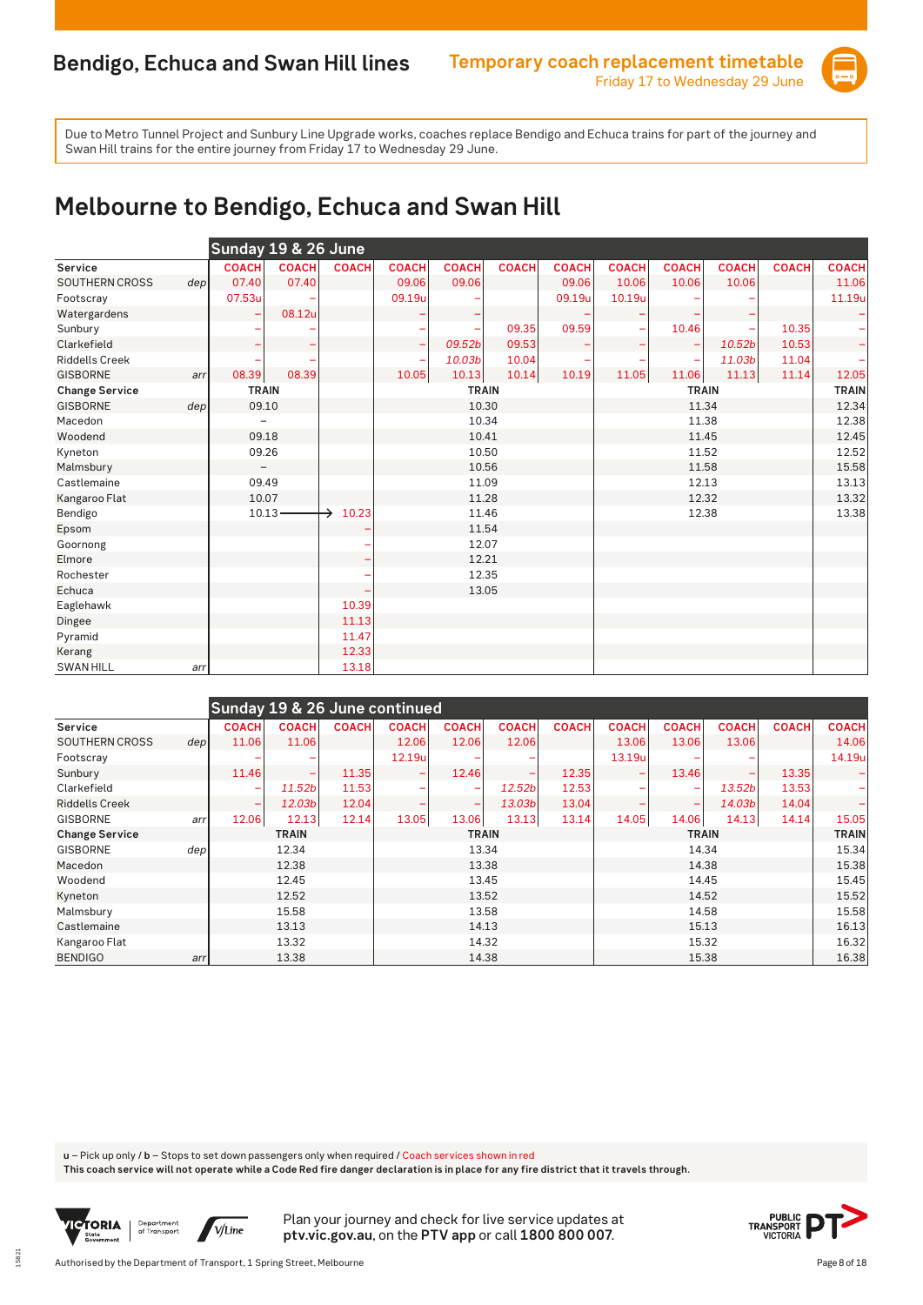

### **Melbourne to Bendigo, Echuca and Swan Hill**

|                       |                  | Sunday 19 & 26 June      |              |              |              |                    |              |              |              |              |              |              |              |
|-----------------------|------------------|--------------------------|--------------|--------------|--------------|--------------------|--------------|--------------|--------------|--------------|--------------|--------------|--------------|
| Service               |                  | <b>COACH</b>             | <b>COACH</b> | <b>COACH</b> | <b>COACH</b> | <b>COACH</b>       | <b>COACH</b> | <b>COACH</b> | <b>COACH</b> | <b>COACH</b> | <b>COACH</b> | <b>COACH</b> | <b>COACH</b> |
| <b>SOUTHERN CROSS</b> | dep <sub>l</sub> | 07.40                    | 07.40        |              | 09.06        | 09.06              |              | 09.06        | 10.06        | 10.06        | 10.06        |              | 11.06        |
| Footscray             |                  | 07.53u                   |              |              | 09.19u       |                    |              | 09.19u       | 10.19u       |              |              |              | 11.19u       |
| Watergardens          |                  |                          | 08.12u       |              |              |                    |              |              |              |              |              |              |              |
| Sunbury               |                  |                          |              |              |              |                    | 09.35        | 09.59        |              | 10.46        |              | 10.35        |              |
| Clarkefield           |                  |                          |              |              |              | 09.52b             | 09.53        |              |              |              | 10.52b       | 10.53        |              |
| <b>Riddells Creek</b> |                  |                          |              |              |              | 10.03 <sub>b</sub> | 10.04        |              |              | ۰            | 11.03b       | 11.04        |              |
| <b>GISBORNE</b>       | arr              | 08.39                    | 08.39        |              | 10.05        | 10.13              | 10.14        | 10.19        | 11.05        | 11.06        | 11.13        | 11.14        | 12.05        |
| <b>Change Service</b> |                  | <b>TRAIN</b>             |              |              |              | <b>TRAIN</b>       |              |              |              | <b>TRAIN</b> |              |              | <b>TRAIN</b> |
| <b>GISBORNE</b>       | dep              | 09.10                    |              |              |              | 10.30              |              |              |              | 11.34        |              |              | 12.34        |
| Macedon               |                  |                          |              |              |              | 10.34              |              |              |              | 11.38        |              |              | 12.38        |
| Woodend               |                  | 09.18                    |              |              |              | 10.41              |              |              |              | 11.45        |              |              | 12.45        |
| Kyneton               |                  | 09.26                    |              |              |              | 10.50              |              |              |              | 11.52        |              |              | 12.52        |
| Malmsbury             |                  | $\overline{\phantom{0}}$ |              |              |              | 10.56              |              |              |              | 11.58        |              |              | 15.58        |
| Castlemaine           |                  | 09.49                    |              |              |              | 11.09              |              |              |              | 12.13        |              |              | 13.13        |
| Kangaroo Flat         |                  | 10.07                    |              |              |              | 11.28              |              |              |              | 12.32        |              |              | 13.32        |
| Bendigo               |                  | $10.13 -$                |              | $\div$ 10.23 |              | 11.46              |              |              |              | 12.38        |              |              | 13.38        |
| Epsom                 |                  |                          |              |              |              | 11.54              |              |              |              |              |              |              |              |
| Goornong              |                  |                          |              |              |              | 12.07              |              |              |              |              |              |              |              |
| Elmore                |                  |                          |              |              |              | 12.21              |              |              |              |              |              |              |              |
| Rochester             |                  |                          |              |              |              | 12.35              |              |              |              |              |              |              |              |
| Echuca                |                  |                          |              |              |              | 13.05              |              |              |              |              |              |              |              |
| Eaglehawk             |                  |                          |              | 10.39        |              |                    |              |              |              |              |              |              |              |
| Dingee                |                  |                          |              | 11.13        |              |                    |              |              |              |              |              |              |              |
| Pyramid               |                  |                          |              | 11.47        |              |                    |              |              |              |              |              |              |              |
| Kerang                |                  |                          |              | 12.33        |              |                    |              |              |              |              |              |              |              |
| <b>SWAN HILL</b>      | arr              |                          |              | 13.18        |              |                    |              |              |              |              |              |              |              |

|                       |     | Sunday 19 & 26 June continued |                |              |              |              |              |              |              |              |              |              |              |
|-----------------------|-----|-------------------------------|----------------|--------------|--------------|--------------|--------------|--------------|--------------|--------------|--------------|--------------|--------------|
| Service               |     | <b>COACH</b>                  | <b>COACH</b>   | <b>COACH</b> | <b>COACH</b> | <b>COACH</b> | <b>COACH</b> | <b>COACH</b> | <b>COACH</b> | <b>COACH</b> | <b>COACH</b> | <b>COACH</b> | <b>COACH</b> |
| SOUTHERN CROSS        | dep | 11.06                         | 11.06          |              | 12.06        | 12.06        | 12.06        |              | 13.06        | 13.06        | 13.06        |              | 14.06        |
| Footscray             |     |                               |                |              | 12.19u       |              |              |              | 13.19u       |              |              |              | 14.19u       |
| Sunbury               |     | 11.46                         |                | 11.35        |              | 12.46        |              | 12.35        |              | 13.46        | -            | 13.35        |              |
| Clarkefield           |     | ۰                             | 11.52b         | 11.53        |              | -            | 12.52b       | 12.53        |              |              | 13.52b       | 13.53        |              |
| <b>Riddells Creek</b> |     | $\overline{\phantom{0}}$      | 12.03b         | 12.04        |              | -            | 13.03b       | 13.04        |              |              | 14.03b       | 14.04        |              |
| <b>GISBORNE</b>       | arr | 12.06                         | 12.13          | 12.14        | 13.05        | 13.06        | 13.13        | 13.14        | 14.05        | 14.06        | 14.13        | 14.14        | 15.05        |
| <b>Change Service</b> |     |                               | <b>TRAIN</b>   |              |              | <b>TRAIN</b> |              |              |              | <b>TRAIN</b> |              |              | <b>TRAIN</b> |
| <b>GISBORNE</b>       | dep |                               | 12.34          |              |              | 13.34        |              |              |              | 14.34        |              |              | 15.34        |
| Macedon               |     |                               | 12.38<br>12.45 |              |              | 13.38        |              |              |              | 14.38        |              |              | 15.38        |
| Woodend               |     |                               |                |              |              | 13.45        |              |              |              | 14.45        |              |              | 15.45        |
| Kyneton               |     |                               | 12.52          |              |              | 13.52        |              |              |              | 14.52        |              |              | 15.52        |
| Malmsbury             |     |                               | 15.58          |              |              | 13.58        |              |              |              | 14.58        |              |              | 15.58        |
| Castlemaine           |     |                               | 13.13          |              |              | 14.13        |              |              |              | 15.13        |              |              | 16.13        |
| Kangaroo Flat         |     |                               | 13.32          |              |              | 14.32        |              |              |              | 15.32        |              |              | 16.32        |
| <b>BENDIGO</b>        | arr |                               | 13.38          |              |              | 14.38        |              |              |              | 15.38        |              |              | 16.38        |

**u** – Pick up only / **b** – Stops to set down passengers only when required / Coach services shown in red

**This coach service will not operate while a Code Red fire danger declaration is in place for any fire district that it travels through.**



15821

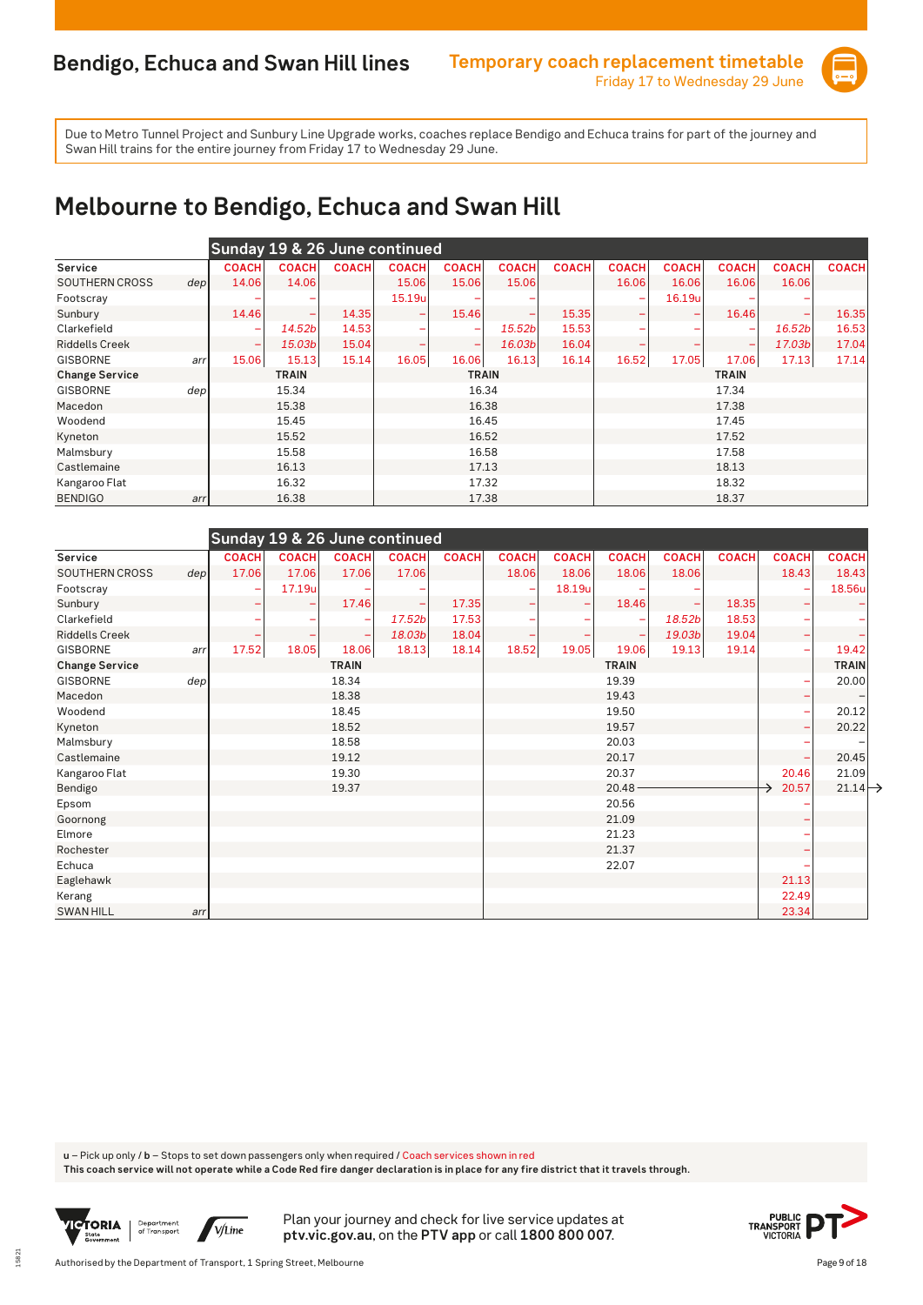

## **Melbourne to Bendigo, Echuca and Swan Hill**

|                       |                  | Sunday 19 & 26 June continued |                                |              |              |                          |              |              |              |                          |              |              |              |
|-----------------------|------------------|-------------------------------|--------------------------------|--------------|--------------|--------------------------|--------------|--------------|--------------|--------------------------|--------------|--------------|--------------|
| Service               |                  | <b>COACH</b>                  | <b>COACH</b>                   | <b>COACH</b> | <b>COACH</b> | <b>COACH</b>             | <b>COACH</b> | <b>COACH</b> | <b>COACH</b> | <b>COACH</b>             | <b>COACH</b> | <b>COACH</b> | <b>COACH</b> |
| <b>SOUTHERN CROSS</b> | dep <sub>l</sub> | 14.06                         | 14.06                          |              | 15.06        | 15.06                    | 15.06        |              | 16.06        | 16.06                    | 16.06        | 16.06        |              |
| Footscray             |                  |                               |                                |              | 15.19u       |                          |              |              | -            | 16.19u                   |              |              |              |
| Sunbury               |                  | 14.46                         |                                | 14.35        |              | 15.46                    |              | 15.35        | -            | $\overline{\phantom{0}}$ | 16.46        |              | 16.35        |
| Clarkefield           |                  | -                             | 14.52b                         | 14.53        |              | ۰                        | 15.52b       | 15.53        | ÷            |                          | -            | 16.52b       | 16.53        |
| <b>Riddells Creek</b> |                  | ۰                             | 15.03b                         | 15.04        |              | $\overline{\phantom{0}}$ | 16.03b       | 16.04        | -            |                          | -            | 17.03b       | 17.04        |
| <b>GISBORNE</b>       | arr              | 15.06                         | 15.14<br>15.13<br><b>TRAIN</b> |              |              | 16.06                    | 16.13        | 16.14        | 16.52        | 17.05                    | 17.06        | 17.13        | 17.14        |
| <b>Change Service</b> |                  |                               |                                |              |              | <b>TRAIN</b>             |              |              |              |                          | <b>TRAIN</b> |              |              |
| <b>GISBORNE</b>       | dep              |                               | 15.34                          |              |              | 16.34                    |              |              |              |                          | 17.34        |              |              |
| Macedon               |                  |                               | 15.38                          |              |              | 16.38                    |              |              |              |                          | 17.38        |              |              |
| Woodend               |                  |                               | 15.45                          |              |              | 16.45                    |              |              |              |                          | 17.45        |              |              |
| Kyneton               |                  |                               | 15.52                          |              |              | 16.52                    |              |              |              |                          | 17.52        |              |              |
| Malmsbury             |                  |                               | 15.58                          |              |              | 16.58                    |              |              |              |                          | 17.58        |              |              |
| Castlemaine           |                  |                               | 16.13                          |              |              | 17.13                    |              |              |              |                          | 18.13        |              |              |
| Kangaroo Flat         |                  |                               | 16.32                          |              |              | 17.32                    |              |              |              |                          | 18.32        |              |              |
| <b>BENDIGO</b>        | arr              |                               | 16.38                          |              |              | 17.38                    |              |              |              |                          | 18.37        |              |              |

|                       |     |              | Sunday 19 & 26 June continued |              |              |              |              |              |              |              |              |              |                     |
|-----------------------|-----|--------------|-------------------------------|--------------|--------------|--------------|--------------|--------------|--------------|--------------|--------------|--------------|---------------------|
| Service               |     | <b>COACH</b> | <b>COACH</b>                  | <b>COACH</b> | <b>COACH</b> | <b>COACH</b> | <b>COACH</b> | <b>COACH</b> | <b>COACH</b> | <b>COACH</b> | <b>COACH</b> | <b>COACH</b> | <b>COACH</b>        |
| SOUTHERN CROSS        | dep | 17.06        | 17.06                         | 17.06        | 17.06        |              | 18.06        | 18.06        | 18.06        | 18.06        |              | 18.43        | 18.43               |
| Footscray             |     |              | 17.19u                        |              |              |              |              | 18.19u       |              |              |              |              | 18.56u              |
| Sunbury               |     | -            |                               | 17.46        | -            | 17.35        | -            |              | 18.46        |              | 18.35        | -            |                     |
| Clarkefield           |     |              |                               |              | 17.52b       | 17.53        |              |              |              | 18.52b       | 18.53        |              |                     |
| <b>Riddells Creek</b> |     | ۰            |                               |              | 18.03b       | 18.04        |              | ۰            | -            | 19.03b       | 19.04        | -            |                     |
| <b>GISBORNE</b>       | arr | 17.52        | 18.05                         | 18.06        | 18.13        | 18.14        | 18.52        | 19.05        | 19.06        | 19.13        | 19.14        | -            | 19.42               |
| <b>Change Service</b> |     |              |                               | <b>TRAIN</b> |              |              |              |              | <b>TRAIN</b> |              |              |              | <b>TRAIN</b>        |
| <b>GISBORNE</b>       | dep |              |                               | 18.34        |              |              |              |              | 19.39        |              |              | -            | 20.00               |
| Macedon               |     |              |                               | 18.38        |              |              |              |              | 19.43        |              |              |              |                     |
| Woodend               |     |              |                               | 18.45        |              |              |              |              | 19.50        |              |              | -            | 20.12               |
| Kyneton               |     |              |                               | 18.52        |              |              |              |              | 19.57        |              |              |              | 20.22               |
| Malmsbury             |     |              |                               | 18.58        |              |              |              |              | 20.03        |              |              |              |                     |
| Castlemaine           |     |              |                               | 19.12        |              |              |              |              | 20.17        |              |              |              | 20.45               |
| Kangaroo Flat         |     |              |                               | 19.30        |              |              |              |              | 20.37        |              |              | 20.46        | 21.09               |
| Bendigo               |     |              |                               | 19.37        |              |              |              |              | $20.48 -$    |              |              | 20.57        | $21.14 \rightarrow$ |
| Epsom                 |     |              |                               |              |              |              |              |              | 20.56        |              |              |              |                     |
| Goornong              |     |              |                               |              |              |              |              |              | 21.09        |              |              |              |                     |
| Elmore                |     |              |                               |              |              |              |              |              | 21.23        |              |              |              |                     |
| Rochester             |     |              |                               |              |              |              |              |              | 21.37        |              |              |              |                     |
| Echuca                |     |              |                               |              |              |              |              |              | 22.07        |              |              |              |                     |
| Eaglehawk             |     |              |                               |              |              |              |              |              |              |              |              | 21.13        |                     |
| Kerang                |     |              |                               |              |              |              |              |              |              |              |              | 22.49        |                     |
| <b>SWAN HILL</b>      | arr |              |                               |              |              |              |              |              |              |              |              | 23.34        |                     |

**u** – Pick up only / **b** – Stops to set down passengers only when required / Coach services shown in red

**This coach service will not operate while a Code Red fire danger declaration is in place for any fire district that it travels through.**



15821

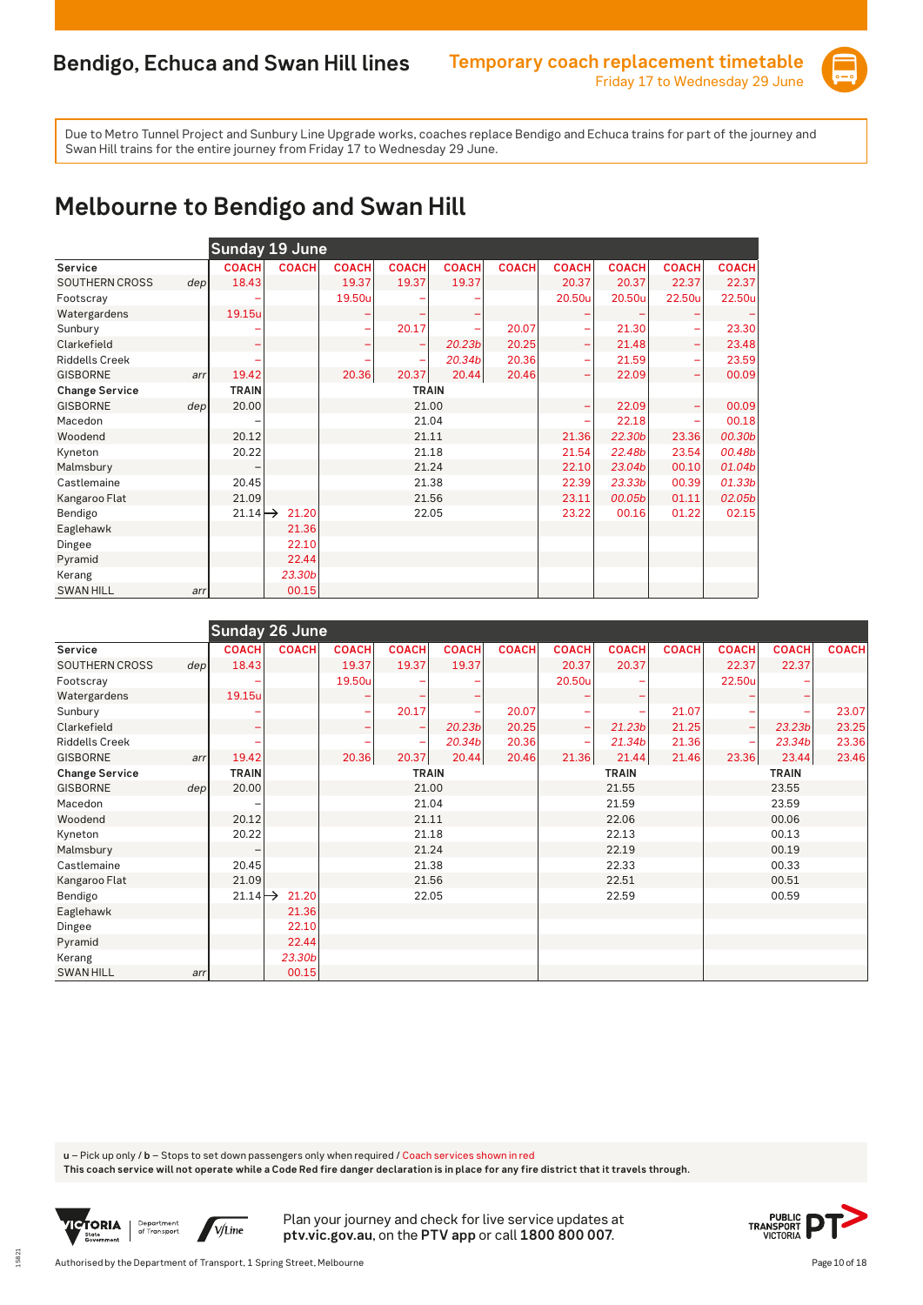

# **Melbourne to Bendigo and Swan Hill**

|                       |                         | Sunday 19 June      |              |              |              |                    |              |                          |              |              |              |
|-----------------------|-------------------------|---------------------|--------------|--------------|--------------|--------------------|--------------|--------------------------|--------------|--------------|--------------|
| Service               |                         | <b>COACH</b>        | <b>COACH</b> | <b>COACH</b> | <b>COACH</b> | <b>COACH</b>       | <b>COACH</b> | <b>COACH</b>             | <b>COACH</b> | <b>COACH</b> | <b>COACH</b> |
| <b>SOUTHERN CROSS</b> | dep <sub>l</sub>        | 18.43               |              | 19.37        | 19.37        | 19.37              |              | 20.37                    | 20.37        | 22.37        | 22.37        |
| Footscray             |                         |                     |              | 19.50u       |              |                    |              | 20.50u                   | 20.50u       | 22.50u       | 22.50u       |
| Watergardens          |                         | 19.15u              |              |              |              |                    |              | ۰                        |              |              |              |
| Sunbury               |                         |                     |              |              | 20.17        |                    | 20.07        | -                        | 21.30        | -            | 23.30        |
| Clarkefield           |                         | -                   |              | -            |              | 20.23 <sub>b</sub> | 20.25        | -                        | 21.48        | -            | 23.48        |
| <b>Riddells Creek</b> | arr<br>dep <sub>l</sub> |                     |              |              |              | 20.34b             | 20.36        | ۰                        | 21.59        | ۰            | 23.59        |
| <b>GISBORNE</b>       |                         | 19.42               |              | 20.36        | 20.37        | 20.44              | 20.46        | $\overline{\phantom{0}}$ | 22.09        | -            | 00.09        |
| <b>Change Service</b> |                         | <b>TRAIN</b>        |              |              | <b>TRAIN</b> |                    |              |                          |              |              |              |
| <b>GISBORNE</b>       |                         | 20.00               |              |              | 21.00        |                    |              | ۰                        | 22.09        | -            | 00.09        |
| Macedon               |                         |                     |              |              | 21.04        |                    |              | -                        | 22.18        |              | 00.18        |
| Woodend               |                         | 20.12               |              |              | 21.11        |                    |              | 21.36                    | 22.30b       | 23.36        | 00.30b       |
| Kyneton               |                         | 20.22               |              |              | 21.18        |                    |              | 21.54                    | 22.48b       | 23.54        | 00.48b       |
| Malmsbury             |                         |                     |              |              | 21.24        |                    |              | 22.10                    | 23.04b       | 00.10        | 01.04b       |
| Castlemaine           |                         | 20.45               |              |              | 21.38        |                    |              | 22.39                    | 23.33b       | 00.39        | 01.33b       |
| Kangaroo Flat         |                         | 21.09               |              |              | 21.56        |                    |              | 23.11                    | 00.05b       | 01.11        | 02.05b       |
| Bendigo               |                         | $21.14 \rightarrow$ | 21.20        |              | 22.05        |                    |              | 23.22                    | 00.16        | 01.22        | 02.15        |
| Eaglehawk             |                         |                     | 21.36        |              |              |                    |              |                          |              |              |              |
| Dingee                |                         |                     | 22.10        |              |              |                    |              |                          |              |              |              |
| Pyramid               |                         |                     | 22.44        |              |              |                    |              |                          |              |              |              |
| Kerang                |                         |                     | 23.30b       |              |              |                    |              |                          |              |              |              |
| <b>SWAN HILL</b>      | arr                     |                     | 00.15        |              |              |                    |              |                          |              |              |              |

|                       |                  | Sunday 26 June      |              |              |              |              |              |                          |              |              |                          |                    |              |
|-----------------------|------------------|---------------------|--------------|--------------|--------------|--------------|--------------|--------------------------|--------------|--------------|--------------------------|--------------------|--------------|
| Service               |                  | <b>COACH</b>        | <b>COACH</b> | <b>COACH</b> | <b>COACH</b> | <b>COACH</b> | <b>COACH</b> | <b>COACH</b>             | <b>COACH</b> | <b>COACH</b> | <b>COACH</b>             | <b>COACH</b>       | <b>COACH</b> |
| SOUTHERN CROSS        | dep <sub>1</sub> | 18.43               |              | 19.37        | 19.37        | 19.37        |              | 20.37                    | 20.37        |              | 22.37                    | 22.37              |              |
| Footscray             |                  |                     |              | 19.50u       |              |              |              | 20.50u                   |              |              | 22.50u                   |                    |              |
| Watergardens          |                  | 19.15u              |              | ۰            |              | ۰            |              |                          |              |              |                          |                    |              |
| Sunbury               |                  |                     |              | ۰            | 20.17        | ۰            | 20.07        |                          |              | 21.07        |                          |                    | 23.07        |
| Clarkefield           |                  | -                   |              | ۰            | ۰            | 20.23b       | 20.25        | $\overline{\phantom{0}}$ | 21.23b       | 21.25        | $\overline{\phantom{0}}$ | 23.23 <sub>b</sub> | 23.25        |
| <b>Riddells Creek</b> |                  |                     |              |              |              | 20.34b       | 20.36        | ۰                        | 21.34b       | 21.36        |                          | 23.34b             | 23.36        |
| <b>GISBORNE</b>       | arr              | 19.42               |              | 20.36        | 20.37        | 20.44        | 20.46        | 21.36                    | 21.44        | 21.46        | 23.36                    | 23.44              | 23.46        |
| <b>Change Service</b> |                  | <b>TRAIN</b>        |              | <b>TRAIN</b> |              |              |              |                          | <b>TRAIN</b> |              |                          | <b>TRAIN</b>       |              |
| <b>GISBORNE</b>       | dep <sub>l</sub> | 20.00               |              | 21.00        |              |              |              |                          | 21.55        |              |                          | 23.55              |              |
| Macedon               |                  |                     |              |              | 21.04        |              |              |                          | 21.59        |              |                          | 23.59              |              |
| Woodend               |                  | 20.12               |              |              | 21.11        |              |              |                          | 22.06        |              |                          | 00.06              |              |
| Kyneton               |                  | 20.22               |              |              | 21.18        |              |              |                          | 22.13        |              |                          | 00.13              |              |
| Malmsbury             |                  |                     |              |              | 21.24        |              |              |                          | 22.19        |              |                          | 00.19              |              |
| Castlemaine           |                  | 20.45               |              |              | 21.38        |              |              |                          | 22.33        |              |                          | 00.33              |              |
| Kangaroo Flat         |                  | 21.09               |              |              | 21.56        |              |              |                          | 22.51        |              |                          | 00.51              |              |
| Bendigo               |                  | $21.14 \rightarrow$ | 21.20        |              | 22.05        |              |              |                          | 22.59        |              |                          | 00.59              |              |
| Eaglehawk             |                  |                     | 21.36        |              |              |              |              |                          |              |              |                          |                    |              |
| Dingee                |                  |                     | 22.10        |              |              |              |              |                          |              |              |                          |                    |              |
| Pyramid               |                  |                     | 22.44        |              |              |              |              |                          |              |              |                          |                    |              |
| Kerang                |                  |                     | 23.30b       |              |              |              |              |                          |              |              |                          |                    |              |
| <b>SWAN HILL</b>      | arr              |                     | 00.15        |              |              |              |              |                          |              |              |                          |                    |              |

**u** – Pick up only / **b** – Stops to set down passengers only when required / Coach services shown in red

**This coach service will not operate while a Code Red fire danger declaration is in place for any fire district that it travels through.**



15821

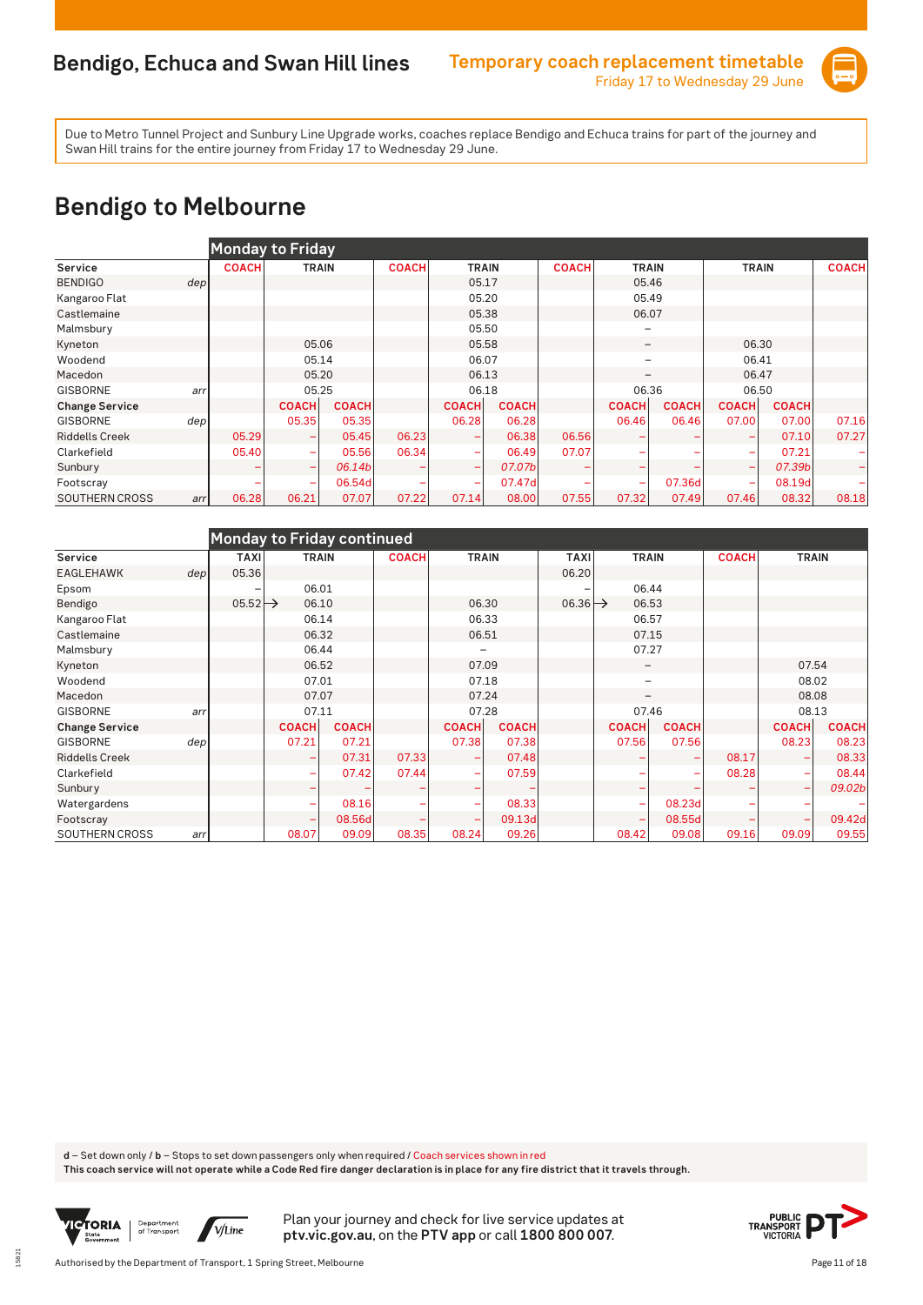

### **Bendigo to Melbourne**

|                       |     | <b>Monday to Friday</b> |                          |              |              |                          |              |              |                          |              |              |              |              |
|-----------------------|-----|-------------------------|--------------------------|--------------|--------------|--------------------------|--------------|--------------|--------------------------|--------------|--------------|--------------|--------------|
| Service               |     | <b>COACH</b>            | <b>TRAIN</b>             |              | <b>COACH</b> | <b>TRAIN</b>             |              | <b>COACH</b> | <b>TRAIN</b>             |              | <b>TRAIN</b> |              | <b>COACH</b> |
| <b>BENDIGO</b>        | dep |                         |                          |              |              | 05.17                    |              |              | 05.46                    |              |              |              |              |
| Kangaroo Flat         |     |                         |                          |              |              | 05.20                    |              |              | 05.49                    |              |              |              |              |
| Castlemaine           |     |                         |                          |              |              | 05.38                    |              |              | 06.07                    |              |              |              |              |
| Malmsbury             |     |                         |                          |              |              | 05.50                    |              |              | $\overline{\phantom{0}}$ |              |              |              |              |
| Kyneton               |     |                         | 05.06                    |              |              | 05.58                    |              |              | $\qquad \qquad -$        |              | 06.30        |              |              |
| Woodend               |     |                         | 05.14                    |              |              | 06.07                    |              |              | $\overline{\phantom{0}}$ |              | 06.41        |              |              |
| Macedon               |     |                         | 05.20                    |              |              | 06.13                    |              |              | $\qquad \qquad -$        |              | 06.47        |              |              |
| <b>GISBORNE</b>       | arr |                         | 05.25                    |              |              | 06.18                    |              |              | 06.36                    |              | 06.50        |              |              |
| <b>Change Service</b> |     |                         | <b>COACH</b>             | <b>COACH</b> |              | <b>COACH</b>             | <b>COACH</b> |              | <b>COACH</b>             | <b>COACH</b> | <b>COACH</b> | <b>COACH</b> |              |
| <b>GISBORNE</b>       | dep |                         | 05.35                    | 05.35        |              | 06.28                    | 06.28        |              | 06.46                    | 06.46        | 07.00        | 07.00        | 07.16        |
| <b>Riddells Creek</b> |     | 05.29                   |                          | 05.45        | 06.23        |                          | 06.38        | 06.56        |                          |              | -            | 07.10        | 07.27        |
| Clarkefield           |     | 05.40                   |                          | 05.56        | 06.34        | $\overline{\phantom{0}}$ | 06.49        | 07.07        |                          |              |              | 07.21        |              |
| Sunbury               |     |                         |                          | 06.14b       |              | -                        | 07.07b       |              | -                        |              | -            | 07.39b       |              |
| Footscray             |     |                         | $\overline{\phantom{0}}$ | 06.54d       |              | $\overline{\phantom{0}}$ | 07.47d       |              | -                        | 07.36d       | -            | 08.19d       |              |
| <b>SOUTHERN CROSS</b> | arr | 06.28                   | 06.21                    | 07.07        | 07.22        | 07.14                    | 08.00        | 07.55        | 07.32                    | 07.49        | 07.46        | 08.32        | 08.18        |

|                       |     |                     | <b>Monday to Friday continued</b> |              |              |                          |              |                     |                   |              |              |              |              |
|-----------------------|-----|---------------------|-----------------------------------|--------------|--------------|--------------------------|--------------|---------------------|-------------------|--------------|--------------|--------------|--------------|
| Service               |     | <b>TAXI</b>         | <b>TRAIN</b>                      |              | <b>COACH</b> | <b>TRAIN</b>             |              | <b>TAXI</b>         | <b>TRAIN</b>      |              | <b>COACH</b> | <b>TRAIN</b> |              |
| <b>EAGLEHAWK</b>      | dep | 05.36               |                                   |              |              |                          |              | 06.20               |                   |              |              |              |              |
| Epsom                 |     |                     | 06.01                             |              |              |                          |              |                     | 06.44             |              |              |              |              |
| Bendigo               |     | $05.52 \rightarrow$ | 06.10                             |              |              | 06.30                    |              | $06.36 \rightarrow$ | 06.53             |              |              |              |              |
| Kangaroo Flat         |     |                     | 06.14                             |              |              | 06.33                    |              |                     | 06.57             |              |              |              |              |
| Castlemaine           |     |                     | 06.32                             |              |              | 06.51                    |              |                     | 07.15             |              |              |              |              |
| Malmsbury             |     |                     | 06.44                             |              |              |                          |              |                     | 07.27             |              |              |              |              |
| Kyneton               |     |                     | 06.52                             |              |              | 07.09                    |              |                     | $\qquad \qquad -$ |              |              | 07.54        |              |
| Woodend               |     |                     | 07.01                             |              |              | 07.18                    |              |                     | $\qquad \qquad -$ |              |              | 08.02        |              |
| Macedon               |     |                     | 07.07                             |              |              | 07.24                    |              |                     | $\qquad \qquad -$ |              |              | 08.08        |              |
| <b>GISBORNE</b>       | arr |                     | 07.11                             |              |              | 07.28                    |              |                     | 07.46             |              |              | 08.13        |              |
| <b>Change Service</b> |     |                     | <b>COACH</b>                      | <b>COACH</b> |              | <b>COACH</b>             | <b>COACH</b> |                     | <b>COACH</b>      | <b>COACH</b> |              | <b>COACH</b> | <b>COACH</b> |
| <b>GISBORNE</b>       | dep |                     | 07.21                             | 07.21        |              | 07.38                    | 07.38        |                     | 07.56             | 07.56        |              | 08.23        | 08.23        |
| <b>Riddells Creek</b> |     |                     |                                   | 07.31        | 07.33        |                          | 07.48        |                     |                   |              | 08.17        |              | 08.33        |
| Clarkefield           |     |                     |                                   | 07.42        | 07.44        | $\overline{\phantom{a}}$ | 07.59        |                     |                   |              | 08.28        |              | 08.44        |
| Sunbury               |     |                     |                                   |              |              |                          |              |                     |                   |              |              | -            | 09.02b       |
| Watergardens          |     |                     |                                   | 08.16        |              |                          | 08.33        |                     |                   | 08.23d       |              |              |              |
| Footscray             |     |                     |                                   | 08.56d       |              |                          | 09.13d       |                     |                   | 08.55d       |              |              | 09.42d       |
| SOUTHERN CROSS        | arr |                     | 08.07                             | 09.09        | 08.35        | 08.24                    | 09.26        |                     | 08.42             | 09.08        | 09.16        | 09.09        | 09.55        |

**d** – Set down only / **b** – Stops to set down passengers only when required / Coach services shown in red

**This coach service will not operate while a Code Red fire danger declaration is in place for any fire district that it travels through.**



15821

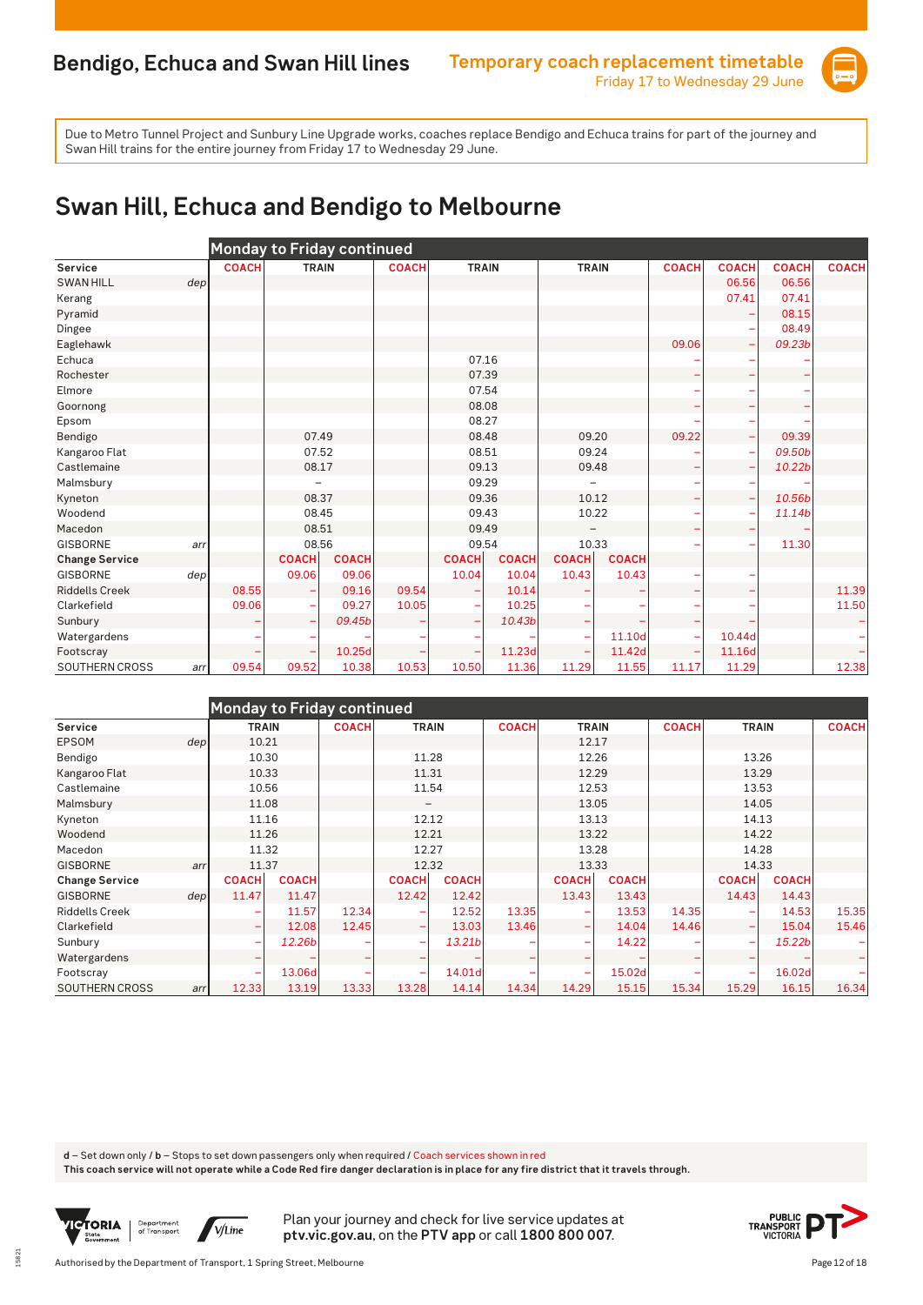

## **Swan Hill, Echuca and Bendigo to Melbourne**

|                       |      |              | Monday to Friday continued |              |              |                          |              |              |              |                                |              |              |              |
|-----------------------|------|--------------|----------------------------|--------------|--------------|--------------------------|--------------|--------------|--------------|--------------------------------|--------------|--------------|--------------|
| Service               |      | <b>COACH</b> | <b>TRAIN</b>               |              | <b>COACH</b> | <b>TRAIN</b>             |              | <b>TRAIN</b> |              | <b>COACH</b>                   | <b>COACH</b> | <b>COACH</b> | <b>COACH</b> |
| <b>SWAN HILL</b>      | depl |              |                            |              |              |                          |              |              |              |                                | 06.56        | 06.56        |              |
| Kerang                |      |              |                            |              |              |                          |              |              |              |                                | 07.41        | 07.41        |              |
| Pyramid               |      |              |                            |              |              |                          |              |              |              |                                |              | 08.15        |              |
| Dingee                |      |              |                            |              |              |                          |              |              |              |                                |              | 08.49        |              |
| Eaglehawk             |      |              |                            |              |              |                          |              |              |              | 09.06                          |              | 09.23b       |              |
| Echuca                |      |              |                            |              |              | 07.16                    |              |              |              |                                |              |              |              |
| Rochester             |      |              |                            |              |              | 07.39                    |              |              |              |                                | ۰            |              |              |
| Elmore                |      |              |                            |              |              | 07.54                    |              |              |              |                                |              |              |              |
| Goornong              |      |              |                            |              |              | 08.08                    |              |              |              |                                | -            | ۳            |              |
| Epsom                 |      |              |                            |              |              | 08.27                    |              |              |              |                                |              |              |              |
| Bendigo               |      |              | 07.49                      |              |              | 08.48                    |              | 09.20        |              | 09.22                          | ۰            | 09.39        |              |
| Kangaroo Flat         |      |              | 07.52                      |              |              | 08.51                    |              | 09.24        |              |                                | -            | 09.50b       |              |
| Castlemaine           |      |              | 08.17                      |              |              | 09.13                    |              | 09.48        |              |                                |              | 10.22b       |              |
| Malmsbury             |      |              | $\overline{\phantom{0}}$   |              |              | 09.29                    |              |              |              |                                |              |              |              |
| Kyneton               |      |              | 08.37                      |              |              | 09.36                    |              | 10.12        |              |                                | -            | 10.56b       |              |
| Woodend               |      |              | 08.45                      |              |              | 09.43                    |              | 10.22        |              |                                | ۰            | 11.14b       |              |
| Macedon               |      |              | 08.51                      |              |              | 09.49                    |              |              |              |                                | ۰            |              |              |
| <b>GISBORNE</b>       | arr  |              | 08.56                      |              |              | 09.54                    |              | 10.33        |              |                                | -            | 11.30        |              |
| <b>Change Service</b> |      |              | <b>COACH</b>               | <b>COACH</b> |              | <b>COACH</b>             | <b>COACH</b> | <b>COACH</b> | <b>COACH</b> |                                |              |              |              |
| <b>GISBORNE</b>       | dep  |              | 09.06                      | 09.06        |              | 10.04                    | 10.04        | 10.43        | 10.43        |                                |              |              |              |
| <b>Riddells Creek</b> |      | 08.55        |                            | 09.16        | 09.54        |                          | 10.14        |              |              |                                |              |              | 11.39        |
| Clarkefield           |      | 09.06        |                            | 09.27        | 10.05        | $\overline{\phantom{m}}$ | 10.25        |              |              |                                |              |              | 11.50        |
| Sunbury               |      |              |                            | 09.45b       |              |                          | 10.43b       |              |              |                                |              |              |              |
| Watergardens          |      |              |                            |              |              |                          |              | ۰            | 11.10d       | ۰                              | 10.44d       |              |              |
| Footscray             |      |              |                            | 10.25d       |              |                          | 11.23d       | -            | 11.42d       | $\qquad \qquad \longleftarrow$ | 11.16d       |              |              |
| SOUTHERN CROSS        | arr  | 09.54        | 09.52                      | 10.38        | 10.53        | 10.50                    | 11.36        | 11.29        | 11.55        | 11.17                          | 11.29        |              | 12.38        |

|                       |     | Monday to Friday continued |              |              |                |              |              |                          |              |              |              |              |              |
|-----------------------|-----|----------------------------|--------------|--------------|----------------|--------------|--------------|--------------------------|--------------|--------------|--------------|--------------|--------------|
| Service               |     | <b>TRAIN</b>               |              | <b>COACH</b> | <b>TRAIN</b>   |              | <b>COACH</b> | <b>TRAIN</b>             |              | <b>COACH</b> | <b>TRAIN</b> |              | <b>COACH</b> |
| <b>EPSOM</b>          | dep | 10.21                      |              |              |                |              |              | 12.17                    |              |              |              |              |              |
| Bendigo               |     | 10.30                      |              |              | 11.28          |              |              | 12.26                    |              |              | 13.26        |              |              |
| Kangaroo Flat         |     | 10.33                      |              |              | 11.31          |              |              | 12.29                    |              |              | 13.29        |              |              |
| Castlemaine           |     | 10.56                      |              |              | 11.54          |              |              | 12.53                    |              |              | 13.53        |              |              |
| Malmsbury             |     | 11.08                      |              |              | -              |              |              | 13.05                    |              |              | 14.05        |              |              |
| Kyneton               |     | 11.16                      |              |              |                |              |              | 13.13                    |              |              | 14.13        |              |              |
| Woodend               |     | 11.26                      |              |              | 12.12<br>12.21 |              |              | 13.22                    |              |              | 14.22        |              |              |
| Macedon               |     | 11.32                      |              |              | 12.27          |              |              | 13.28                    |              |              | 14.28        |              |              |
| <b>GISBORNE</b>       | arr | 11.37                      |              |              | 12.32          |              |              | 13.33                    |              |              | 14.33        |              |              |
| <b>Change Service</b> |     | <b>COACH</b>               | <b>COACH</b> |              | <b>COACH</b>   | <b>COACH</b> |              | <b>COACH</b>             | <b>COACH</b> |              | <b>COACH</b> | <b>COACH</b> |              |
| <b>GISBORNE</b>       | dep | 11.47                      | 11.47        |              | 12.42          | 12.42        |              | 13.43                    | 13.43        |              | 14.43        | 14.43        |              |
| <b>Riddells Creek</b> |     |                            | 11.57        | 12.34        |                | 12.52        | 13.35        |                          | 13.53        | 14.35        |              | 14.53        | 15.35        |
| Clarkefield           |     |                            | 12.08        | 12.45        |                | 13.03        | 13.46        |                          | 14.04        | 14.46        | -            | 15.04        | 15.46        |
| Sunbury               |     | ۰                          | 12.26b       |              |                | 13.21b       |              | -                        | 14.22        |              | -            | 15.22b       |              |
| Watergardens          |     | ۰                          |              |              |                |              |              | $\overline{\phantom{0}}$ |              |              | -            |              |              |
| Footscray             |     | ۰                          | 13.06d       |              |                | 14.01d       |              | -                        | 15.02d       |              | -            | 16.02d       |              |
| <b>SOUTHERN CROSS</b> | arr | 12.33                      | 13.19        | 13.33        | 13.28          | 14.14        | 14.34        | 14.29                    | 15.15        | 15.34        | 15.29        | 16.15        | 16.34        |

**d** – Set down only / **b** – Stops to set down passengers only when required / Coach services shown in red

**This coach service will not operate while a Code Red fire danger declaration is in place for any fire district that it travels through.**



15821

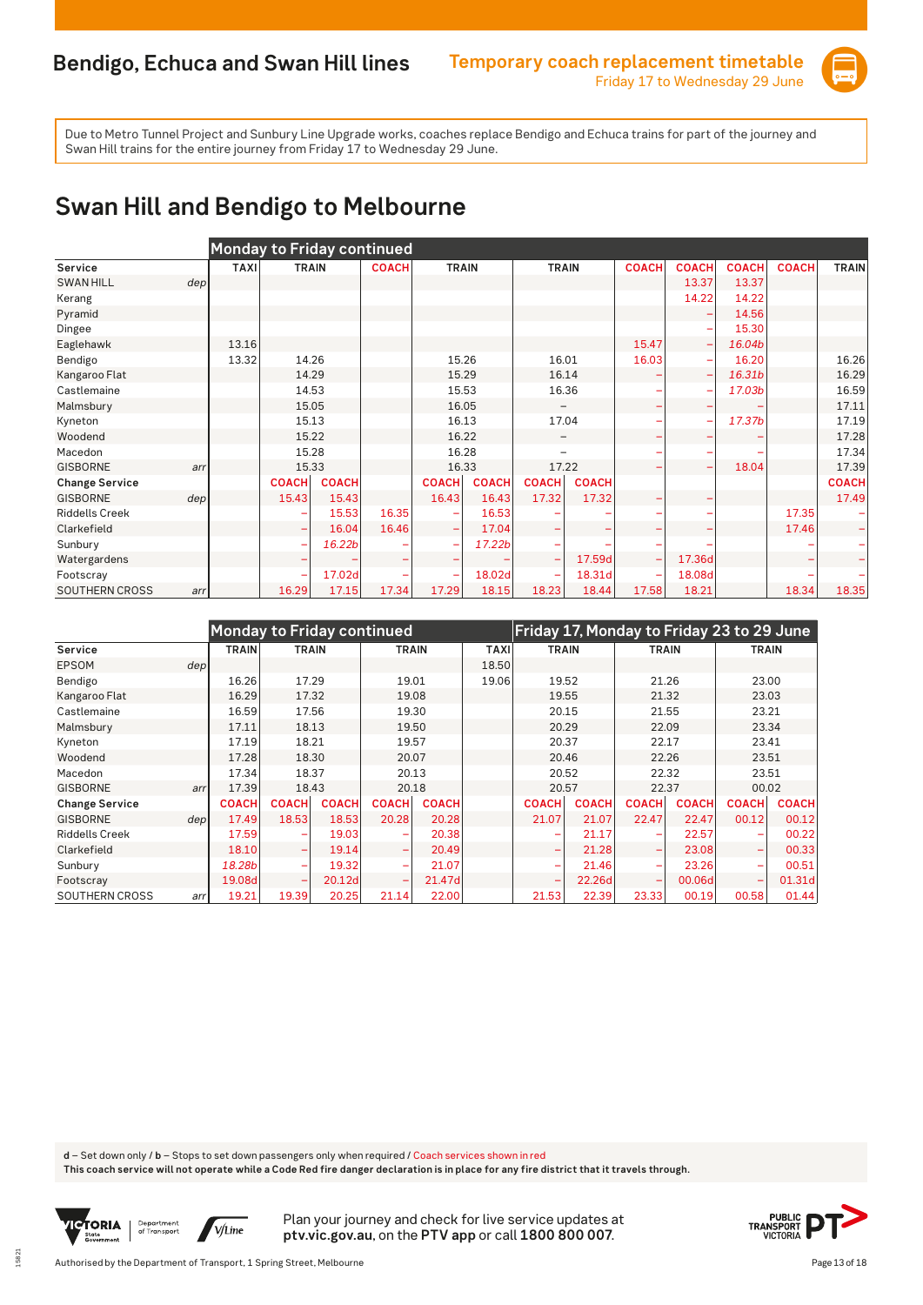

## **Swan Hill and Bendigo to Melbourne**

|                       |     | <b>Monday to Friday continued</b> |                              |              |              |              |              |                              |              |                          |              |              |              |              |
|-----------------------|-----|-----------------------------------|------------------------------|--------------|--------------|--------------|--------------|------------------------------|--------------|--------------------------|--------------|--------------|--------------|--------------|
| Service               |     | <b>TAXI</b>                       | <b>TRAIN</b>                 |              | <b>COACH</b> | <b>TRAIN</b> |              | <b>TRAIN</b>                 |              | <b>COACH</b>             | <b>COACH</b> | <b>COACH</b> | <b>COACH</b> | <b>TRAIN</b> |
| <b>SWAN HILL</b>      | dep |                                   |                              |              |              |              |              |                              |              |                          | 13.37        | 13.37        |              |              |
| Kerang                |     |                                   |                              |              |              |              |              |                              |              |                          | 14.22        | 14.22        |              |              |
| Pyramid               |     |                                   |                              |              |              |              |              |                              |              |                          |              | 14.56        |              |              |
| Dingee                |     |                                   |                              |              |              |              |              |                              |              |                          |              | 15.30        |              |              |
| Eaglehawk             |     | 13.16                             |                              |              |              |              |              |                              |              | 15.47                    | -            | 16.04b       |              |              |
| Bendigo               |     | 13.32                             | 14.26                        |              |              | 15.26        |              | 16.01                        |              | 16.03                    | ۰            | 16.20        |              | 16.26        |
| Kangaroo Flat         |     |                                   | 14.29                        |              |              | 15.29        |              | 16.14                        |              |                          | -            | 16.31b       |              | 16.29        |
| Castlemaine           |     |                                   | 14.53                        |              |              | 15.53        |              | 16.36                        |              |                          |              | 17.03b       |              | 16.59        |
| Malmsbury             |     |                                   | 15.05                        |              |              | 16.05        |              |                              |              |                          | -            |              |              | 17.11        |
| Kyneton               |     |                                   | 15.13                        |              |              | 16.13        |              | 17.04                        |              |                          | ۰            | 17.37b       |              | 17.19        |
| Woodend               |     |                                   | 15.22                        |              |              | 16.22        |              |                              |              |                          | -            |              |              | 17.28        |
| Macedon               |     |                                   | 15.28                        |              |              | 16.28        |              |                              |              |                          |              |              |              | 17.34        |
| <b>GISBORNE</b>       | arr |                                   | 15.33                        |              |              | 16.33        |              | 17.22                        |              |                          | -            | 18.04        |              | 17.39        |
| <b>Change Service</b> |     |                                   | <b>COACH</b>                 | <b>COACH</b> |              | <b>COACH</b> | <b>COACH</b> | <b>COACH</b>                 | <b>COACH</b> |                          |              |              |              | <b>COACH</b> |
| <b>GISBORNE</b>       | dep |                                   | 15.43                        | 15.43        |              | 16.43        | 16.43        | 17.32                        | 17.32        |                          |              |              |              | 17.49        |
| <b>Riddells Creek</b> |     |                                   |                              | 15.53        | 16.35        |              | 16.53        |                              |              |                          |              |              | 17.35        |              |
| Clarkefield           |     |                                   | $\qquad \qquad \blacksquare$ | 16.04        | 16.46        | -            | 17.04        | $\qquad \qquad \blacksquare$ |              |                          | ۰            |              | 17.46        |              |
| Sunbury               |     |                                   |                              | 16.22b       |              | -            | 17.22b       | -                            |              |                          |              |              |              |              |
| Watergardens          |     |                                   |                              |              |              |              |              | $\qquad \qquad -$            | 17.59d       | $\overline{\phantom{0}}$ | 17.36d       |              |              |              |
| Footscray             |     |                                   | -                            | 17.02d       |              | -            | 18.02d       | ۰                            | 18.31d       | $\overline{\phantom{0}}$ | 18.08d       |              |              |              |
| SOUTHERN CROSS        | arr |                                   | 16.29                        | 17.15        | 17.34        | 17.29        | 18.15        | 18.23                        | 18.44        | 17.58                    | 18.21        |              | 18.34        | 18.35        |

|                       |      | <b>Monday to Friday continued</b> |                                |              |                          |              |             | Friday 17, Monday to Friday 23 to 29 June |              |                          |              |              |              |
|-----------------------|------|-----------------------------------|--------------------------------|--------------|--------------------------|--------------|-------------|-------------------------------------------|--------------|--------------------------|--------------|--------------|--------------|
| Service               |      | <b>TRAIN</b>                      | <b>TRAIN</b>                   |              | <b>TRAIN</b>             |              | <b>TAXI</b> | <b>TRAIN</b>                              |              | <b>TRAIN</b>             |              | <b>TRAIN</b> |              |
| <b>EPSOM</b>          | dep  |                                   |                                |              |                          |              | 18.50       |                                           |              |                          |              |              |              |
| Bendigo               |      | 16.26                             | 17.29                          |              | 19.01                    |              | 19.06       | 19.52                                     |              | 21.26                    |              | 23.00        |              |
| Kangaroo Flat         |      | 16.29                             | 17.32                          |              | 19.08                    |              |             | 19.55                                     |              | 21.32                    |              | 23.03        |              |
| Castlemaine           |      | 16.59                             | 17.56                          |              | 19.30                    |              |             | 20.15                                     |              | 21.55                    |              | 23.21        |              |
| Malmsbury             |      | 17.11                             | 18.13                          |              | 19.50                    |              |             | 20.29                                     |              | 22.09                    |              | 23.34        |              |
| Kyneton               |      | 17.19                             | 18.21                          |              | 19.57                    |              |             | 20.37                                     |              | 22.17                    |              | 23.41        |              |
| Woodend               |      | 17.28                             | 18.30                          |              | 20.07                    |              |             | 20.46                                     |              | 22.26                    |              | 23.51        |              |
| Macedon               |      | 17.34                             | 18.37                          |              | 20.13                    |              |             | 20.52                                     |              | 22.32                    |              | 23.51        |              |
| <b>GISBORNE</b>       | arr  | 17.39                             | 18.43                          |              | 20.18                    |              |             | 20.57                                     |              | 22.37                    |              | 00.02        |              |
| <b>Change Service</b> |      | <b>COACH</b>                      | <b>COACH</b>                   | <b>COACH</b> | <b>COACH</b>             | <b>COACH</b> |             | <b>COACH</b>                              | <b>COACH</b> | <b>COACH</b>             | <b>COACH</b> | <b>COACH</b> | <b>COACH</b> |
| <b>GISBORNE</b>       | depl | 17.49                             | 18.53                          | 18.53        | 20.28                    | 20.28        |             | 21.07                                     | 21.07        | 22.47                    | 22.47        | 00.12        | 00.12        |
| <b>Riddells Creek</b> |      | 17.59                             | -                              | 19.03        | ۰                        | 20.38        |             |                                           | 21.17        | -                        | 22.57        | -            | 00.22        |
| Clarkefield           |      | 18.10                             | $\qquad \qquad \longleftarrow$ | 19.14        | ÷                        | 20.49        |             | $\overline{\phantom{0}}$                  | 21.28        | $\overline{\phantom{0}}$ | 23.08        | -            | 00.33        |
| Sunbury               |      | 18.28b                            | ۰                              | 19.32        | -                        | 21.07        |             | $\overline{\phantom{0}}$                  | 21.46        | ۰                        | 23.26        | -            | 00.51        |
| Footscray             |      | 19.08d                            | $\qquad \qquad \longleftarrow$ | 20.12d       | $\overline{\phantom{0}}$ | 21.47d       |             | $\overline{\phantom{0}}$                  | 22.26d       | $\overline{\phantom{0}}$ | 00.06d       | -            | 01.31d       |
| SOUTHERN CROSS        | arr  | 19.21                             | 19.39                          | 20.25        | 21.14                    | 22.00        |             | 21.53                                     | 22.39        | 23.33                    | 00.19        | 00.58        | 01.44        |

**d** – Set down only / **b** – Stops to set down passengers only when required / Coach services shown in red

**This coach service will not operate while a Code Red fire danger declaration is in place for any fire district that it travels through.**



15821

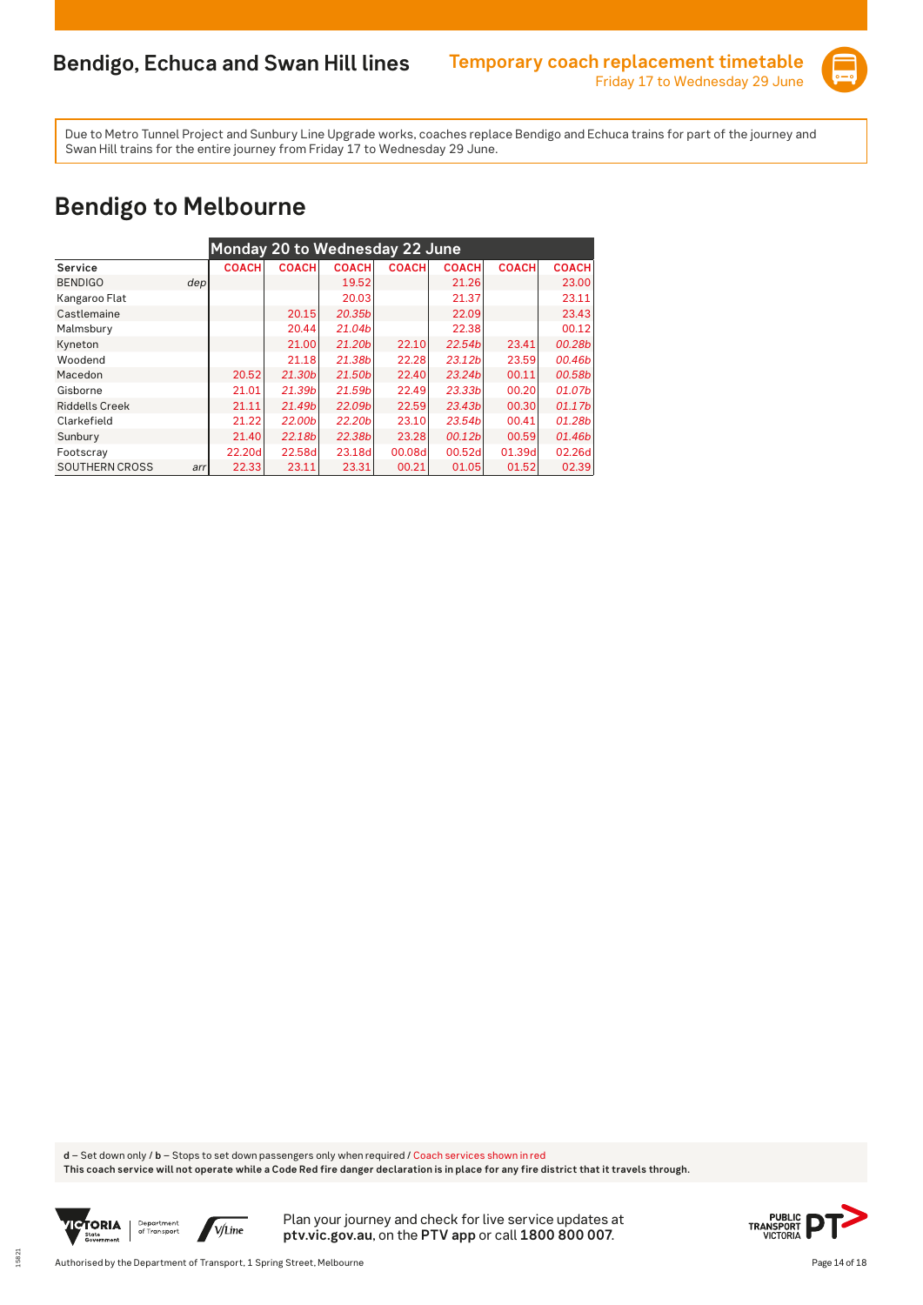

### **Bendigo to Melbourne**

| Monday 20 to Wednesday 22 June |      |              |              |              |              |                    |              |              |  |  |  |
|--------------------------------|------|--------------|--------------|--------------|--------------|--------------------|--------------|--------------|--|--|--|
| Service                        |      | <b>COACH</b> | <b>COACH</b> | <b>COACH</b> | <b>COACH</b> | <b>COACH</b>       | <b>COACH</b> | <b>COACH</b> |  |  |  |
| <b>BENDIGO</b>                 | depl |              |              | 19.52        |              | 21.26              |              | 23.00        |  |  |  |
| Kangaroo Flat                  |      |              |              | 20.03        |              | 21.37              |              | 23.11        |  |  |  |
| Castlemaine                    |      |              | 20.15        | 20.35b       |              | 22.09              |              | 23.43        |  |  |  |
| Malmsbury                      |      |              | 20.44        | 21.04b       |              | 22.38              |              | 00.12        |  |  |  |
| Kyneton                        |      |              | 21.00        | 21.20b       | 22.10        | 22.54b             | 23.41        | 00.28b       |  |  |  |
| Woodend                        |      |              | 21.18        | 21.38b       | 22.28        | 23.12 <sub>b</sub> | 23.59        | 00.46b       |  |  |  |
| Macedon                        |      | 20.52        | 21.30b       | 21.50b       | 22.40        | 23.24b             | 00.11        | 00.58b       |  |  |  |
| Gisborne                       |      | 21.01        | 21.39b       | 21.59b       | 22.49        | 23.33b             | 00.20        | 01.07b       |  |  |  |
| <b>Riddells Creek</b>          |      | 21.11        | 21.49b       | 22.09b       | 22.59        | 23.43b             | 00.30        | 01.17b       |  |  |  |
| Clarkefield                    |      | 21.22        | 22.00b       | 22.20b       | 23.10        | 23.54b             | 00.41        | 01.28b       |  |  |  |
| Sunbury                        |      | 21.40        | 22.18b       | 22.38b       | 23.28        | 00.12b             | 00.59        | 01.46b       |  |  |  |
| Footscray                      |      | 22.20d       | 22.58d       | 23.18d       | 00.08d       | 00.52d             | 01.39d       | 02.26d       |  |  |  |
| <b>SOUTHERN CROSS</b>          | arr  | 22.33        | 23.11        | 23.31        | 00.21        | 01.05              | 01.52        | 02.39        |  |  |  |

**d** – Set down only / **b** – Stops to set down passengers only when required / Coach services shown in red **This coach service will not operate while a Code Red fire danger declaration is in place for any fire district that it travels through.**



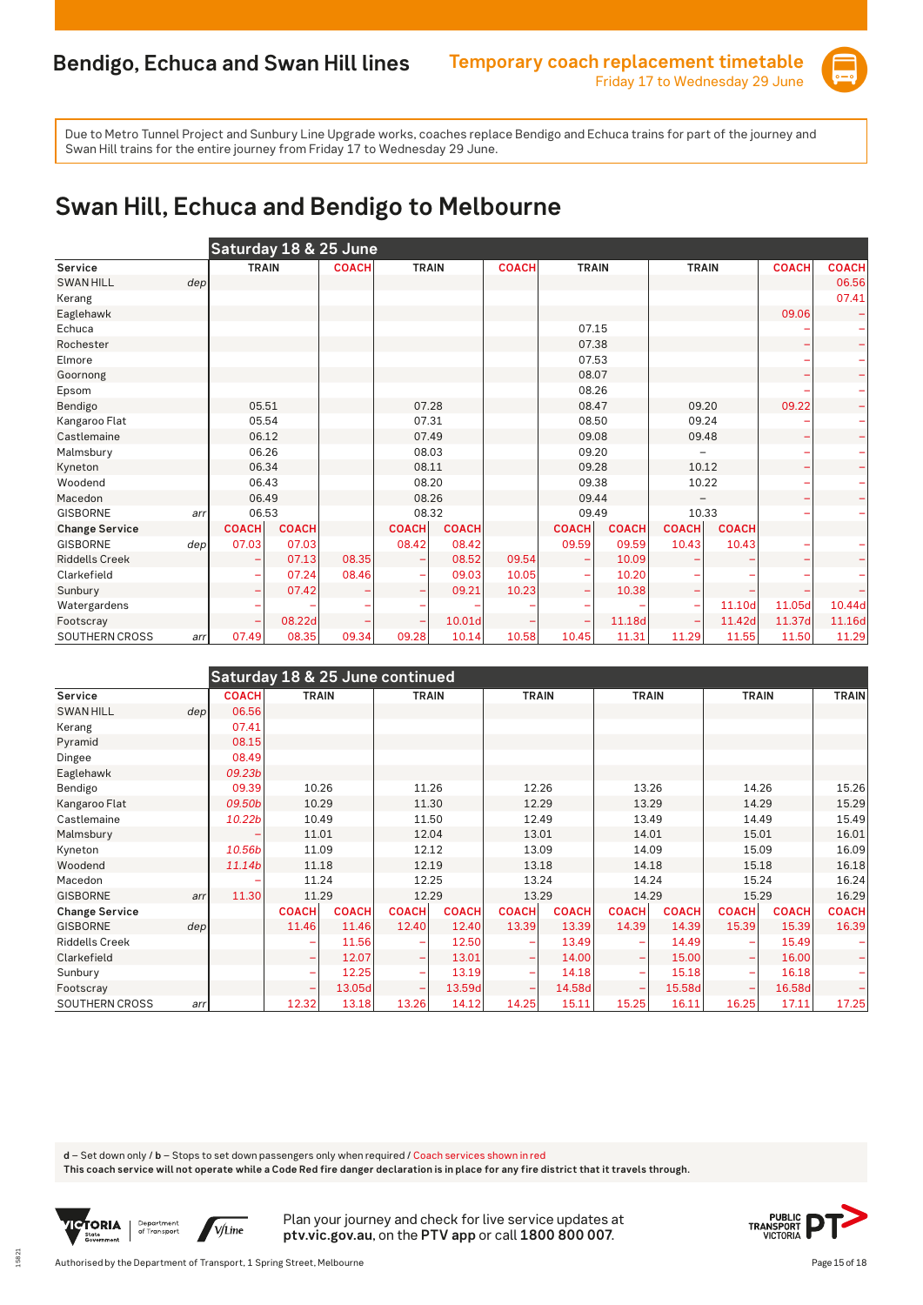

# **Swan Hill, Echuca and Bendigo to Melbourne**

|                       |     | Saturday 18 & 25 June |              |              |              |              |              |              |              |              |              |              |              |
|-----------------------|-----|-----------------------|--------------|--------------|--------------|--------------|--------------|--------------|--------------|--------------|--------------|--------------|--------------|
| Service               |     | <b>TRAIN</b>          |              | <b>COACH</b> | <b>TRAIN</b> |              | <b>COACH</b> | <b>TRAIN</b> |              | <b>TRAIN</b> |              | <b>COACH</b> | <b>COACH</b> |
| <b>SWAN HILL</b>      | dep |                       |              |              |              |              |              |              |              |              |              |              | 06.56        |
| Kerang                |     |                       |              |              |              |              |              |              |              |              |              |              | 07.41        |
| Eaglehawk             |     |                       |              |              |              |              |              |              |              |              |              | 09.06        |              |
| Echuca                |     |                       |              |              |              |              |              | 07.15        |              |              |              |              |              |
| Rochester             |     |                       |              |              |              |              |              | 07.38        |              |              |              |              |              |
| Elmore                |     |                       |              |              |              |              |              | 07.53        |              |              |              |              |              |
| Goornong              |     |                       |              |              |              |              |              | 08.07        |              |              |              |              |              |
| Epsom                 |     |                       |              |              |              |              |              | 08.26        |              |              |              |              |              |
| Bendigo               |     | 05.51                 |              |              | 07.28        |              |              | 08.47        |              | 09.20        |              | 09.22        |              |
| Kangaroo Flat         |     | 05.54                 |              |              | 07.31        |              |              | 08.50        |              | 09.24        |              |              |              |
| Castlemaine           |     | 06.12                 |              |              | 07.49        |              |              | 09.08        |              | 09.48        |              |              |              |
| Malmsbury             |     | 06.26                 |              |              | 08.03        |              |              | 09.20        |              |              |              |              |              |
| Kyneton               |     | 06.34                 |              |              | 08.11        |              |              | 09.28        |              | 10.12        |              |              |              |
| Woodend               |     | 06.43                 |              |              | 08.20        |              |              | 09.38        |              | 10.22        |              |              |              |
| Macedon               |     | 06.49                 |              |              | 08.26        |              |              | 09.44        |              |              |              |              |              |
| <b>GISBORNE</b>       | arr | 06.53                 |              |              | 08.32        |              |              | 09.49        |              | 10.33        |              |              |              |
| <b>Change Service</b> |     | <b>COACH</b>          | <b>COACH</b> |              | <b>COACH</b> | <b>COACH</b> |              | <b>COACH</b> | <b>COACH</b> | <b>COACH</b> | <b>COACH</b> |              |              |
| <b>GISBORNE</b>       | dep | 07.03                 | 07.03        |              | 08.42        | 08.42        |              | 09.59        | 09.59        | 10.43        | 10.43        |              |              |
| <b>Riddells Creek</b> |     |                       | 07.13        | 08.35        |              | 08.52        | 09.54        |              | 10.09        |              |              |              |              |
| Clarkefield           |     | -                     | 07.24        | 08.46        |              | 09.03        | 10.05        | -            | 10.20        |              |              |              |              |
| Sunbury               |     | ۰                     | 07.42        |              |              | 09.21        | 10.23        |              | 10.38        |              |              |              |              |
| Watergardens          |     |                       |              |              |              |              |              |              |              | ۰            | 11.10d       | 11.05d       | 10.44d       |
| Footscray             |     | ۰                     | 08.22d       |              |              | 10.01d       |              |              | 11.18d       | -            | 11.42d       | 11.37d       | 11.16d       |
| SOUTHERN CROSS        | arr | 07.49                 | 08.35        | 09.34        | 09.28        | 10.14        | 10.58        | 10.45        | 11.31        | 11.29        | 11.55        | 11.50        | 11.29        |

|                       |     |              | Saturday 18 & 25 June continued |              |                          |              |              |              |              |              |              |              |              |
|-----------------------|-----|--------------|---------------------------------|--------------|--------------------------|--------------|--------------|--------------|--------------|--------------|--------------|--------------|--------------|
| Service               |     | <b>COACH</b> | <b>TRAIN</b>                    |              | <b>TRAIN</b>             |              | <b>TRAIN</b> |              | <b>TRAIN</b> |              | <b>TRAIN</b> |              | <b>TRAIN</b> |
| <b>SWAN HILL</b>      | dep | 06.56        |                                 |              |                          |              |              |              |              |              |              |              |              |
| Kerang                |     | 07.41        |                                 |              |                          |              |              |              |              |              |              |              |              |
| Pyramid               |     | 08.15        |                                 |              |                          |              |              |              |              |              |              |              |              |
| Dingee                |     | 08.49        |                                 |              |                          |              |              |              |              |              |              |              |              |
| Eaglehawk             |     | 09.23b       |                                 |              |                          |              |              |              |              |              |              |              |              |
| Bendigo               |     | 09.39        | 10.26                           |              | 11.26                    |              | 12.26        |              | 13.26        |              | 14.26        |              | 15.26        |
| Kangaroo Flat         |     | 09.50b       | 10.29                           |              | 11.30                    |              | 12.29        |              | 13.29        |              | 14.29        |              | 15.29        |
| Castlemaine           |     | 10.22b       | 10.49                           |              | 11.50                    |              | 12.49        |              | 13.49        |              | 14.49        |              | 15.49        |
| Malmsbury             |     |              | 11.01                           |              | 12.04                    |              | 13.01        |              | 14.01        |              | 15.01        |              | 16.01        |
| Kyneton               |     | 10.56b       | 11.09                           |              | 12.12                    |              | 13.09        |              | 14.09        |              | 15.09        |              | 16.09        |
| Woodend               |     | 11.14b       | 11.18                           |              | 12.19                    |              | 13.18        |              | 14.18        |              | 15.18        |              | 16.18        |
| Macedon               |     |              | 11.24                           |              | 12.25                    |              | 13.24        |              | 14.24        |              | 15.24        |              | 16.24        |
| <b>GISBORNE</b>       | arr | 11.30        | 11.29                           |              | 12.29                    |              | 13.29        |              | 14.29        |              | 15.29        |              | 16.29        |
| <b>Change Service</b> |     |              | <b>COACH</b>                    | <b>COACH</b> | <b>COACH</b>             | <b>COACH</b> | <b>COACH</b> | <b>COACH</b> | <b>COACH</b> | <b>COACH</b> | <b>COACH</b> | <b>COACH</b> | <b>COACH</b> |
| <b>GISBORNE</b>       | dep |              | 11.46                           | 11.46        | 12.40                    | 12.40        | 13.39        | 13.39        | 14.39        | 14.39        | 15.39        | 15.39        | 16.39        |
| <b>Riddells Creek</b> |     |              |                                 | 11.56        |                          | 12.50        |              | 13.49        |              | 14.49        |              | 15.49        |              |
| Clarkefield           |     |              | ۰                               | 12.07        | ۰                        | 13.01        |              | 14.00        |              | 15.00        |              | 16.00        |              |
| Sunbury               |     |              | ۰                               | 12.25        | $\overline{\phantom{a}}$ | 13.19        |              | 14.18        |              | 15.18        |              | 16.18        |              |
| Footscray             |     |              |                                 | 13.05d       |                          | 13.59d       |              | 14.58d       |              | 15.58d       |              | 16.58d       |              |
| SOUTHERN CROSS        | arr |              | 12.32                           | 13.18        | 13.26                    | 14.12        | 14.25        | 15.11        | 15.25        | 16.11        | 16.25        | 17.11        | 17.25        |

**d** – Set down only / **b** – Stops to set down passengers only when required / Coach services shown in red

**This coach service will not operate while a Code Red fire danger declaration is in place for any fire district that it travels through.**



15821

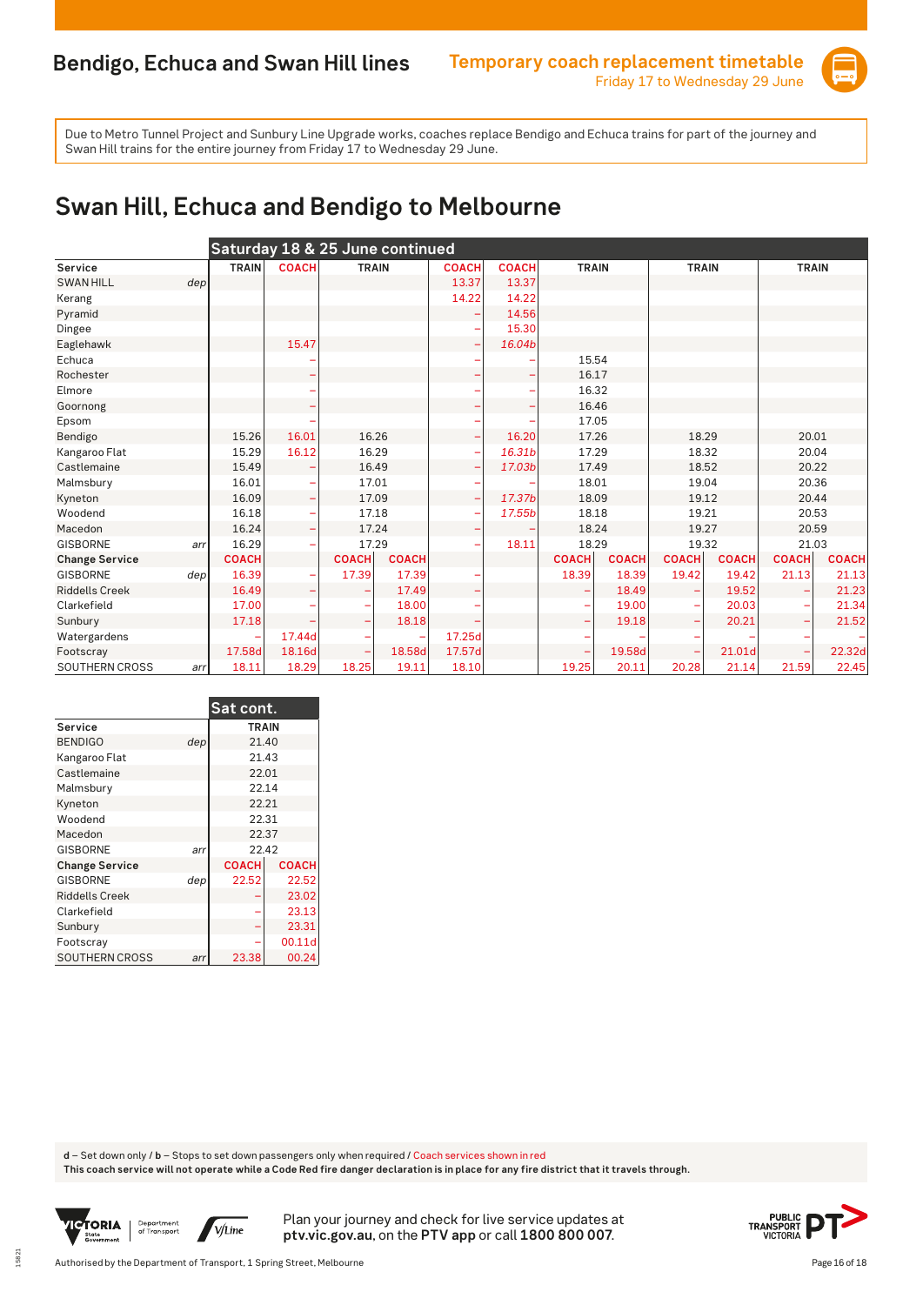

# **Swan Hill, Echuca and Bendigo to Melbourne**

|                       |     |              |              | Saturday 18 & 25 June continued |              |              |              |              |              |              |              |              |              |
|-----------------------|-----|--------------|--------------|---------------------------------|--------------|--------------|--------------|--------------|--------------|--------------|--------------|--------------|--------------|
| Service               |     | <b>TRAIN</b> | <b>COACH</b> | <b>TRAIN</b>                    |              | <b>COACH</b> | <b>COACH</b> | <b>TRAIN</b> |              | <b>TRAIN</b> |              | <b>TRAIN</b> |              |
| <b>SWAN HILL</b>      | dep |              |              |                                 |              | 13.37        | 13.37        |              |              |              |              |              |              |
| Kerang                |     |              |              |                                 |              | 14.22        | 14.22        |              |              |              |              |              |              |
| Pyramid               |     |              |              |                                 |              |              | 14.56        |              |              |              |              |              |              |
| Dingee                |     |              |              |                                 |              |              | 15.30        |              |              |              |              |              |              |
| Eaglehawk             |     |              | 15.47        |                                 |              | -            | 16.04b       |              |              |              |              |              |              |
| Echuca                |     |              |              |                                 |              |              |              | 15.54        |              |              |              |              |              |
| Rochester             |     |              |              |                                 |              |              |              | 16.17        |              |              |              |              |              |
| Elmore                |     |              |              |                                 |              |              |              | 16.32        |              |              |              |              |              |
| Goornong              |     |              |              |                                 |              |              |              | 16.46        |              |              |              |              |              |
| Epsom                 |     |              |              |                                 |              |              |              | 17.05        |              |              |              |              |              |
| Bendigo               |     | 15.26        | 16.01        | 16.26                           |              |              | 16.20        | 17.26        |              | 18.29        |              | 20.01        |              |
| Kangaroo Flat         |     | 15.29        | 16.12        | 16.29                           |              | ۰            | 16.31b       | 17.29        |              | 18.32        |              | 20.04        |              |
| Castlemaine           |     | 15.49        |              | 16.49                           |              |              | 17.03b       | 17.49        |              | 18.52        |              | 20.22        |              |
| Malmsbury             |     | 16.01        |              | 17.01                           |              |              |              | 18.01        |              | 19.04        |              | 20.36        |              |
| Kyneton               |     | 16.09        |              | 17.09                           |              | -            | 17.37b       | 18.09        |              | 19.12        |              | 20.44        |              |
| Woodend               |     | 16.18        |              | 17.18                           |              |              | 17.55b       | 18.18        |              | 19.21        |              | 20.53        |              |
| Macedon               |     | 16.24        |              | 17.24                           |              |              |              | 18.24        |              | 19.27        |              | 20.59        |              |
| <b>GISBORNE</b>       | arr | 16.29        |              | 17.29                           |              |              | 18.11        | 18.29        |              | 19.32        |              | 21.03        |              |
| <b>Change Service</b> |     | <b>COACH</b> |              | <b>COACH</b>                    | <b>COACH</b> |              |              | <b>COACH</b> | <b>COACH</b> | <b>COACH</b> | <b>COACH</b> | <b>COACH</b> | <b>COACH</b> |
| <b>GISBORNE</b>       | dep | 16.39        |              | 17.39                           | 17.39        |              |              | 18.39        | 18.39        | 19.42        | 19.42        | 21.13        | 21.13        |
| <b>Riddells Creek</b> |     | 16.49        |              |                                 | 17.49        |              |              |              | 18.49        |              | 19.52        |              | 21.23        |
| Clarkefield           |     | 17.00        |              |                                 | 18.00        |              |              |              | 19.00        |              | 20.03        |              | 21.34        |
| Sunbury               |     | 17.18        |              |                                 | 18.18        |              |              |              | 19.18        |              | 20.21        |              | 21.52        |
| Watergardens          |     |              | 17.44d       |                                 |              | 17.25d       |              |              |              |              |              |              |              |
| Footscray             |     | 17.58d       | 18.16d       |                                 | 18.58d       | 17.57d       |              |              | 19.58d       | -            | 21.01d       |              | 22.32d       |
| SOUTHERN CROSS        | arr | 18.11        | 18.29        | 18.25                           | 19.11        | 18.10        |              | 19.25        | 20.11        | 20.28        | 21.14        | 21.59        | 22.45        |

|                       |     | Sat cont.    |              |
|-----------------------|-----|--------------|--------------|
| Service               |     | <b>TRAIN</b> |              |
| <b>BENDIGO</b>        | dep | 21.40        |              |
| Kangaroo Flat         |     | 21.43        |              |
| Castlemaine           |     | 22.01        |              |
| Malmsbury             |     | 22.14        |              |
| Kyneton               |     | 22.21        |              |
| Woodend               |     | 22.31        |              |
| Macedon               |     | 22.37        |              |
| <b>GISBORNE</b>       | arr | 22.42        |              |
| <b>Change Service</b> |     | <b>COACH</b> | <b>COACH</b> |
| <b>GISBORNE</b>       | dep | 22.52        | 22.52        |
| <b>Riddells Creek</b> |     |              | 23.02        |
| Clarkefield           |     |              | 23.13        |
| Sunbury               |     |              | 23.31        |
| Footscray             |     |              | 00.11d       |
| <b>SOUTHERN CROSS</b> | arr | 23.38        | 00.24        |

**d** – Set down only / **b** – Stops to set down passengers only when required / Coach services shown in red

**This coach service will not operate while a Code Red fire danger declaration is in place for any fire district that it travels through.**



15821

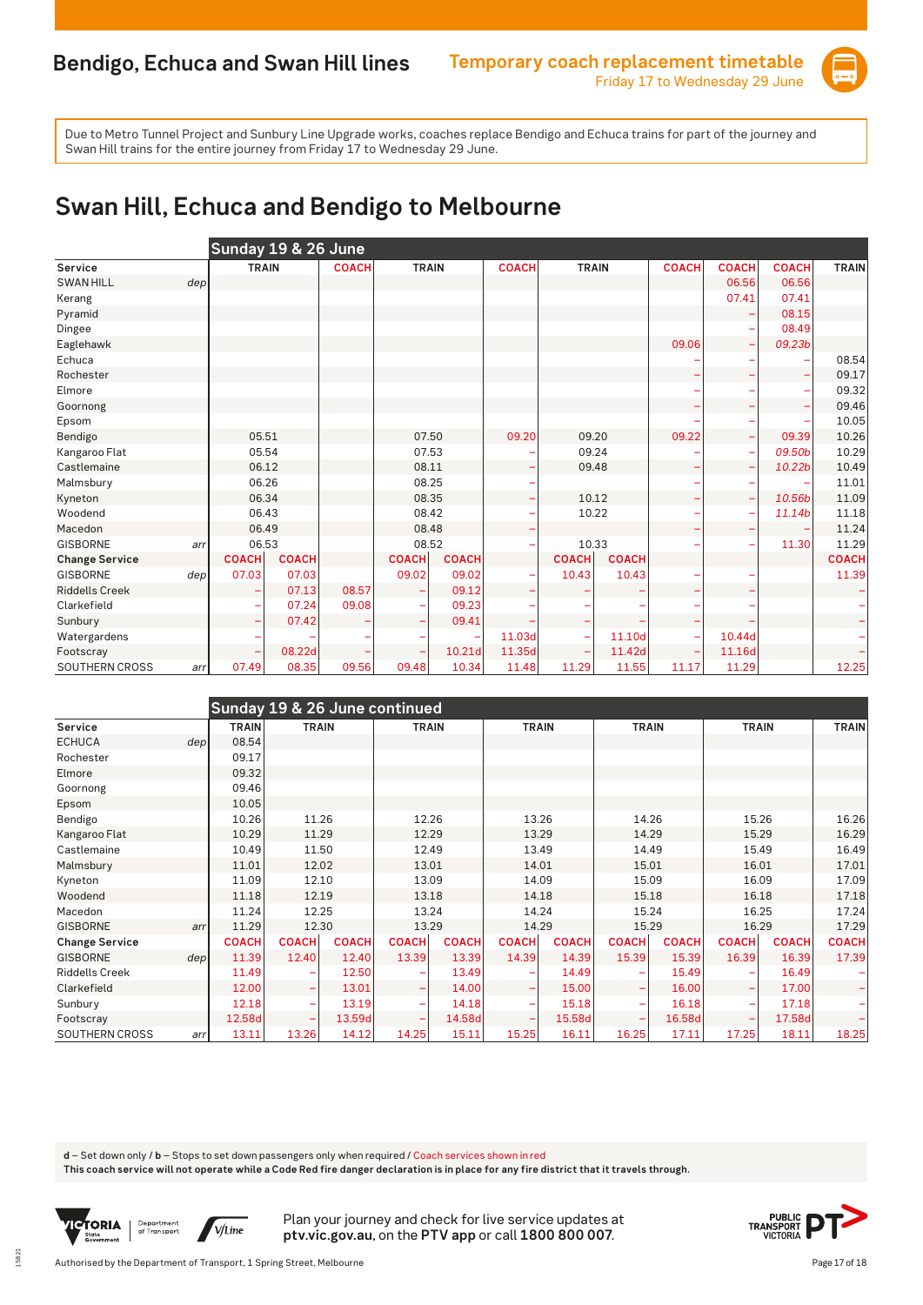

# **Swan Hill, Echuca and Bendigo to Melbourne**

|                       |     | Sunday 19 & 26 June |              |              |              |              |              |              |              |              |              |              |              |
|-----------------------|-----|---------------------|--------------|--------------|--------------|--------------|--------------|--------------|--------------|--------------|--------------|--------------|--------------|
| Service               |     | <b>TRAIN</b>        |              | <b>COACH</b> | <b>TRAIN</b> |              | <b>COACH</b> | <b>TRAIN</b> |              | <b>COACH</b> | <b>COACH</b> | <b>COACH</b> | <b>TRAIN</b> |
| <b>SWAN HILL</b>      | dep |                     |              |              |              |              |              |              |              |              | 06.56        | 06.56        |              |
| Kerang                |     |                     |              |              |              |              |              |              |              |              | 07.41        | 07.41        |              |
| Pyramid               |     |                     |              |              |              |              |              |              |              |              |              | 08.15        |              |
| Dingee                |     |                     |              |              |              |              |              |              |              |              |              | 08.49        |              |
| Eaglehawk             |     |                     |              |              |              |              |              |              |              | 09.06        | ÷            | 09.23b       |              |
| Echuca                |     |                     |              |              |              |              |              |              |              |              |              |              | 08.54        |
| Rochester             |     |                     |              |              |              |              |              |              |              |              | ۰            |              | 09.17        |
| Elmore                |     |                     |              |              |              |              |              |              |              |              |              |              | 09.32        |
| Goornong              |     |                     |              |              |              |              |              |              |              | -            | ۰            | ۰            | 09.46        |
| Epsom                 |     |                     |              |              |              |              |              |              |              |              |              |              | 10.05        |
| Bendigo               |     | 05.51               |              |              | 07.50        |              | 09.20        | 09.20        |              | 09.22        | ÷            | 09.39        | 10.26        |
| Kangaroo Flat         |     | 05.54               |              |              | 07.53        |              |              | 09.24        |              |              | ۰            | 09.50b       | 10.29        |
| Castlemaine           |     | 06.12               |              |              | 08.11        |              |              | 09.48        |              |              | ۳            | 10.22b       | 10.49        |
| Malmsbury             |     | 06.26               |              |              | 08.25        |              |              |              |              |              | ۳            |              | 11.01        |
| Kyneton               |     | 06.34               |              |              | 08.35        |              |              | 10.12        |              |              | -            | 10.56b       | 11.09        |
| Woodend               |     | 06.43               |              |              | 08.42        |              |              | 10.22        |              |              | ۰            | 11.14b       | 11.18        |
| Macedon               |     | 06.49               |              |              | 08.48        |              |              |              |              | -            | -            |              | 11.24        |
| <b>GISBORNE</b>       | arr | 06.53               |              |              | 08.52        |              |              | 10.33        |              |              | ۳            | 11.30        | 11.29        |
| <b>Change Service</b> |     | <b>COACH</b>        | <b>COACH</b> |              | <b>COACH</b> | <b>COACH</b> |              | <b>COACH</b> | <b>COACH</b> |              |              |              | <b>COACH</b> |
| <b>GISBORNE</b>       | dep | 07.03               | 07.03        |              | 09.02        | 09.02        |              | 10.43        | 10.43        |              |              |              | 11.39        |
| <b>Riddells Creek</b> |     |                     | 07.13        | 08.57        |              | 09.12        |              |              |              |              |              |              |              |
| Clarkefield           |     | -                   | 07.24        | 09.08        |              | 09.23        |              |              |              |              |              |              |              |
| Sunbury               |     | ۰                   | 07.42        |              |              | 09.41        |              |              |              |              |              |              |              |
| Watergardens          |     |                     |              |              |              |              | 11.03d       | ۰            | 11.10d       | ۰            | 10.44d       |              |              |
| Footscray             |     |                     | 08.22d       |              |              | 10.21d       | 11.35d       | -            | 11.42d       | ÷            | 11.16d       |              |              |
| <b>SOUTHERN CROSS</b> | arr | 07.49               | 08.35        | 09.56        | 09.48        | 10.34        | 11.48        | 11.29        | 11.55        | 11.17        | 11.29        |              | 12.25        |

|                       |                  |              | Sunday 19 & 26 June continued |              |                          |              |                          |              |                          |              |                          |              |              |
|-----------------------|------------------|--------------|-------------------------------|--------------|--------------------------|--------------|--------------------------|--------------|--------------------------|--------------|--------------------------|--------------|--------------|
| Service               |                  | <b>TRAIN</b> | <b>TRAIN</b>                  |              | <b>TRAIN</b>             |              | <b>TRAIN</b>             |              | <b>TRAIN</b>             |              | <b>TRAIN</b>             |              | <b>TRAIN</b> |
| <b>ECHUCA</b>         | dep              | 08.54        |                               |              |                          |              |                          |              |                          |              |                          |              |              |
| Rochester             |                  | 09.17        |                               |              |                          |              |                          |              |                          |              |                          |              |              |
| Elmore                |                  | 09.32        |                               |              |                          |              |                          |              |                          |              |                          |              |              |
| Goornong              |                  | 09.46        |                               |              |                          |              |                          |              |                          |              |                          |              |              |
| Epsom                 |                  | 10.05        |                               |              |                          |              |                          |              |                          |              |                          |              |              |
| Bendigo               |                  | 10.26        | 11.26                         |              | 12.26                    |              | 13.26                    |              | 14.26                    |              | 15.26                    |              | 16.26        |
| Kangaroo Flat         |                  | 10.29        | 11.29                         |              | 12.29                    |              | 13.29                    |              | 14.29                    |              | 15.29                    |              | 16.29        |
| Castlemaine           |                  | 10.49        | 11.50                         |              | 12.49                    |              | 13.49                    |              | 14.49                    |              | 15.49                    |              | 16.49        |
| Malmsbury             |                  | 11.01        | 12.02                         |              | 13.01                    |              | 14.01                    |              | 15.01                    |              | 16.01                    |              | 17.01        |
| Kyneton               |                  | 11.09        | 12.10                         |              | 13.09                    |              | 14.09                    |              | 15.09                    |              | 16.09                    |              | 17.09        |
| Woodend               |                  | 11.18        | 12.19                         |              | 13.18                    |              | 14.18                    |              | 15.18                    |              | 16.18                    |              | 17.18        |
| Macedon               |                  | 11.24        | 12.25                         |              | 13.24                    |              | 14.24                    |              | 15.24                    |              | 16.25                    |              | 17.24        |
| <b>GISBORNE</b>       | arr              | 11.29        | 12.30                         |              | 13.29                    |              | 14.29                    |              | 15.29                    |              | 16.29                    |              | 17.29        |
| <b>Change Service</b> |                  | <b>COACH</b> | <b>COACH</b>                  | <b>COACH</b> | <b>COACH</b>             | <b>COACH</b> | <b>COACH</b>             | <b>COACH</b> | <b>COACH</b>             | <b>COACH</b> | <b>COACH</b>             | <b>COACH</b> | <b>COACH</b> |
| <b>GISBORNE</b>       | dep <sub>l</sub> | 11.39        | 12.40                         | 12.40        | 13.39                    | 13.39        | 14.39                    | 14.39        | 15.39                    | 15.39        | 16.39                    | 16.39        | 17.39        |
| <b>Riddells Creek</b> |                  | 11.49        |                               | 12.50        |                          | 13.49        |                          | 14.49        |                          | 15.49        |                          | 16.49        |              |
| Clarkefield           |                  | 12.00        | $\overline{\phantom{0}}$      | 13.01        | $\overline{\phantom{a}}$ | 14.00        | $\overline{\phantom{a}}$ | 15.00        | $\overline{\phantom{a}}$ | 16.00        | $\overline{\phantom{0}}$ | 17.00        |              |
| Sunbury               |                  | 12.18        | ۰                             | 13.19        |                          | 14.18        |                          | 15.18        |                          | 16.18        | -                        | 17.18        |              |
| Footscray             |                  | 12.58d       |                               | 13.59d       |                          | 14.58d       |                          | 15.58d       |                          | 16.58d       | -                        | 17.58d       |              |
| SOUTHERN CROSS        | arr              | 13.11        | 13.26                         | 14.12        | 14.25                    | 15.11        | 15.25                    | 16.11        | 16.25                    | 17.11        | 17.25                    | 18.11        | 18.25        |

**d** – Set down only / **b** – Stops to set down passengers only when required / Coach services shown in red

**This coach service will not operate while a Code Red fire danger declaration is in place for any fire district that it travels through.**



15821